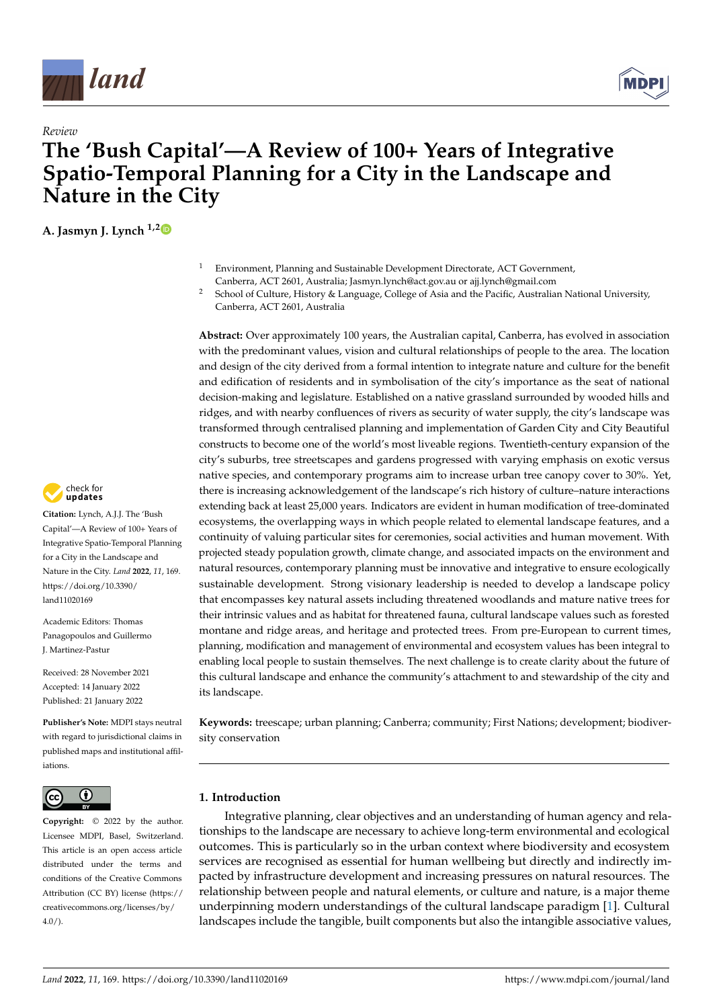



# *Review* **The 'Bush Capital'—A Review of 100+ Years of Integrative Spatio-Temporal Planning for a City in the Landscape and Nature in the City**

**A. Jasmyn J. Lynch 1,[2](https://orcid.org/0000-0001-7611-0677)**

- <sup>1</sup> Environment, Planning and Sustainable Development Directorate, ACT Government, Canberra, ACT 2601, Australia; Jasmyn.lynch@act.gov.au or ajj.lynch@gmail.com
- <sup>2</sup> School of Culture, History & Language, College of Asia and the Pacific, Australian National University, Canberra, ACT 2601, Australia

**Abstract:** Over approximately 100 years, the Australian capital, Canberra, has evolved in association with the predominant values, vision and cultural relationships of people to the area. The location and design of the city derived from a formal intention to integrate nature and culture for the benefit and edification of residents and in symbolisation of the city's importance as the seat of national decision-making and legislature. Established on a native grassland surrounded by wooded hills and ridges, and with nearby confluences of rivers as security of water supply, the city's landscape was transformed through centralised planning and implementation of Garden City and City Beautiful constructs to become one of the world's most liveable regions. Twentieth-century expansion of the city's suburbs, tree streetscapes and gardens progressed with varying emphasis on exotic versus native species, and contemporary programs aim to increase urban tree canopy cover to 30%. Yet, there is increasing acknowledgement of the landscape's rich history of culture–nature interactions extending back at least 25,000 years. Indicators are evident in human modification of tree-dominated ecosystems, the overlapping ways in which people related to elemental landscape features, and a continuity of valuing particular sites for ceremonies, social activities and human movement. With projected steady population growth, climate change, and associated impacts on the environment and natural resources, contemporary planning must be innovative and integrative to ensure ecologically sustainable development. Strong visionary leadership is needed to develop a landscape policy that encompasses key natural assets including threatened woodlands and mature native trees for their intrinsic values and as habitat for threatened fauna, cultural landscape values such as forested montane and ridge areas, and heritage and protected trees. From pre-European to current times, planning, modification and management of environmental and ecosystem values has been integral to enabling local people to sustain themselves. The next challenge is to create clarity about the future of this cultural landscape and enhance the community's attachment to and stewardship of the city and its landscape.

**Keywords:** treescape; urban planning; Canberra; community; First Nations; development; biodiversity conservation

# **1. Introduction**

Integrative planning, clear objectives and an understanding of human agency and relationships to the landscape are necessary to achieve long-term environmental and ecological outcomes. This is particularly so in the urban context where biodiversity and ecosystem services are recognised as essential for human wellbeing but directly and indirectly impacted by infrastructure development and increasing pressures on natural resources. The relationship between people and natural elements, or culture and nature, is a major theme underpinning modern understandings of the cultural landscape paradigm [\[1\]](#page-17-0). Cultural landscapes include the tangible, built components but also the intangible associative values,



**Citation:** Lynch, A.J.J. The 'Bush Capital'—A Review of 100+ Years of Integrative Spatio-Temporal Planning for a City in the Landscape and Nature in the City. *Land* **2022**, *11*, 169. [https://doi.org/10.3390/](https://doi.org/10.3390/land11020169) [land11020169](https://doi.org/10.3390/land11020169)

Academic Editors: Thomas Panagopoulos and Guillermo J. Martinez-Pastur

Received: 28 November 2021 Accepted: 14 January 2022 Published: 21 January 2022

**Publisher's Note:** MDPI stays neutral with regard to jurisdictional claims in published maps and institutional affiliations.



**Copyright:** © 2022 by the author. Licensee MDPI, Basel, Switzerland. This article is an open access article distributed under the terms and conditions of the Creative Commons Attribution (CC BY) license [\(https://](https://creativecommons.org/licenses/by/4.0/) [creativecommons.org/licenses/by/](https://creativecommons.org/licenses/by/4.0/)  $4.0/$ ).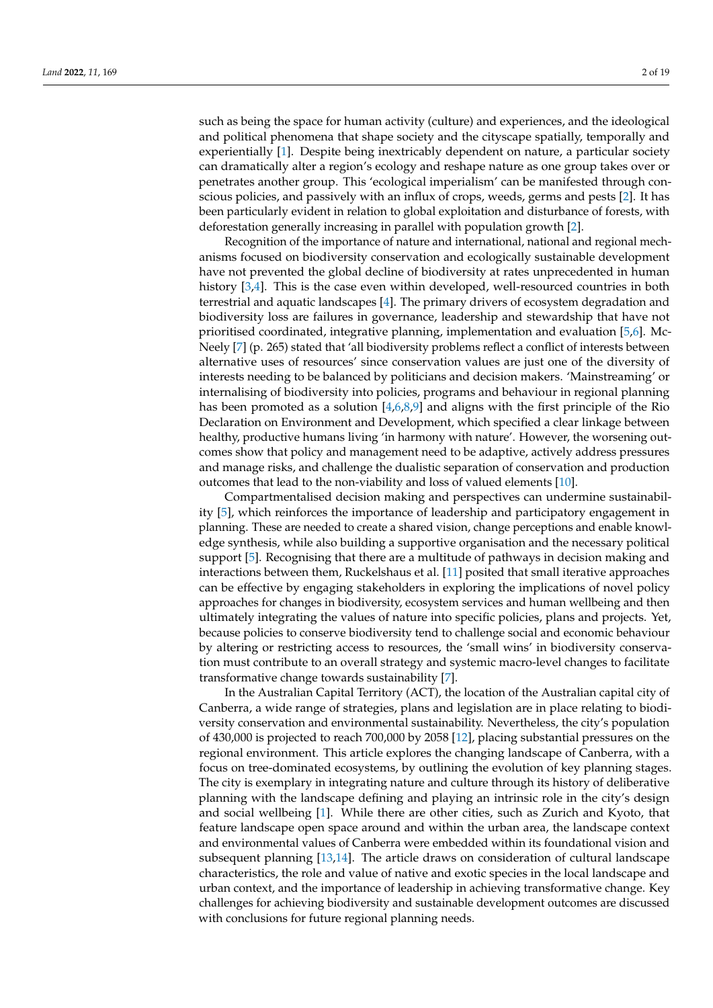such as being the space for human activity (culture) and experiences, and the ideological and political phenomena that shape society and the cityscape spatially, temporally and experientially [\[1\]](#page-17-0). Despite being inextricably dependent on nature, a particular society can dramatically alter a region's ecology and reshape nature as one group takes over or penetrates another group. This 'ecological imperialism' can be manifested through conscious policies, and passively with an influx of crops, weeds, germs and pests [\[2\]](#page-17-1). It has been particularly evident in relation to global exploitation and disturbance of forests, with deforestation generally increasing in parallel with population growth [\[2\]](#page-17-1).

Recognition of the importance of nature and international, national and regional mechanisms focused on biodiversity conservation and ecologically sustainable development have not prevented the global decline of biodiversity at rates unprecedented in human history [\[3,](#page-17-2)[4\]](#page-17-3). This is the case even within developed, well-resourced countries in both terrestrial and aquatic landscapes [\[4\]](#page-17-3). The primary drivers of ecosystem degradation and biodiversity loss are failures in governance, leadership and stewardship that have not prioritised coordinated, integrative planning, implementation and evaluation [\[5,](#page-17-4)[6\]](#page-17-5). Mc-Neely [\[7\]](#page-17-6) (p. 265) stated that 'all biodiversity problems reflect a conflict of interests between alternative uses of resources' since conservation values are just one of the diversity of interests needing to be balanced by politicians and decision makers. 'Mainstreaming' or internalising of biodiversity into policies, programs and behaviour in regional planning has been promoted as a solution  $[4,6,8,9]$  $[4,6,8,9]$  $[4,6,8,9]$  $[4,6,8,9]$  and aligns with the first principle of the Rio Declaration on Environment and Development, which specified a clear linkage between healthy, productive humans living 'in harmony with nature'. However, the worsening outcomes show that policy and management need to be adaptive, actively address pressures and manage risks, and challenge the dualistic separation of conservation and production outcomes that lead to the non-viability and loss of valued elements [\[10\]](#page-17-9).

Compartmentalised decision making and perspectives can undermine sustainability [\[5\]](#page-17-4), which reinforces the importance of leadership and participatory engagement in planning. These are needed to create a shared vision, change perceptions and enable knowledge synthesis, while also building a supportive organisation and the necessary political support [\[5\]](#page-17-4). Recognising that there are a multitude of pathways in decision making and interactions between them, Ruckelshaus et al. [\[11\]](#page-17-10) posited that small iterative approaches can be effective by engaging stakeholders in exploring the implications of novel policy approaches for changes in biodiversity, ecosystem services and human wellbeing and then ultimately integrating the values of nature into specific policies, plans and projects. Yet, because policies to conserve biodiversity tend to challenge social and economic behaviour by altering or restricting access to resources, the 'small wins' in biodiversity conservation must contribute to an overall strategy and systemic macro-level changes to facilitate transformative change towards sustainability [\[7\]](#page-17-6).

In the Australian Capital Territory (ACT), the location of the Australian capital city of Canberra, a wide range of strategies, plans and legislation are in place relating to biodiversity conservation and environmental sustainability. Nevertheless, the city's population of 430,000 is projected to reach 700,000 by 2058 [\[12\]](#page-17-11), placing substantial pressures on the regional environment. This article explores the changing landscape of Canberra, with a focus on tree-dominated ecosystems, by outlining the evolution of key planning stages. The city is exemplary in integrating nature and culture through its history of deliberative planning with the landscape defining and playing an intrinsic role in the city's design and social wellbeing [\[1\]](#page-17-0). While there are other cities, such as Zurich and Kyoto, that feature landscape open space around and within the urban area, the landscape context and environmental values of Canberra were embedded within its foundational vision and subsequent planning [\[13](#page-17-12)[,14\]](#page-17-13). The article draws on consideration of cultural landscape characteristics, the role and value of native and exotic species in the local landscape and urban context, and the importance of leadership in achieving transformative change. Key challenges for achieving biodiversity and sustainable development outcomes are discussed with conclusions for future regional planning needs.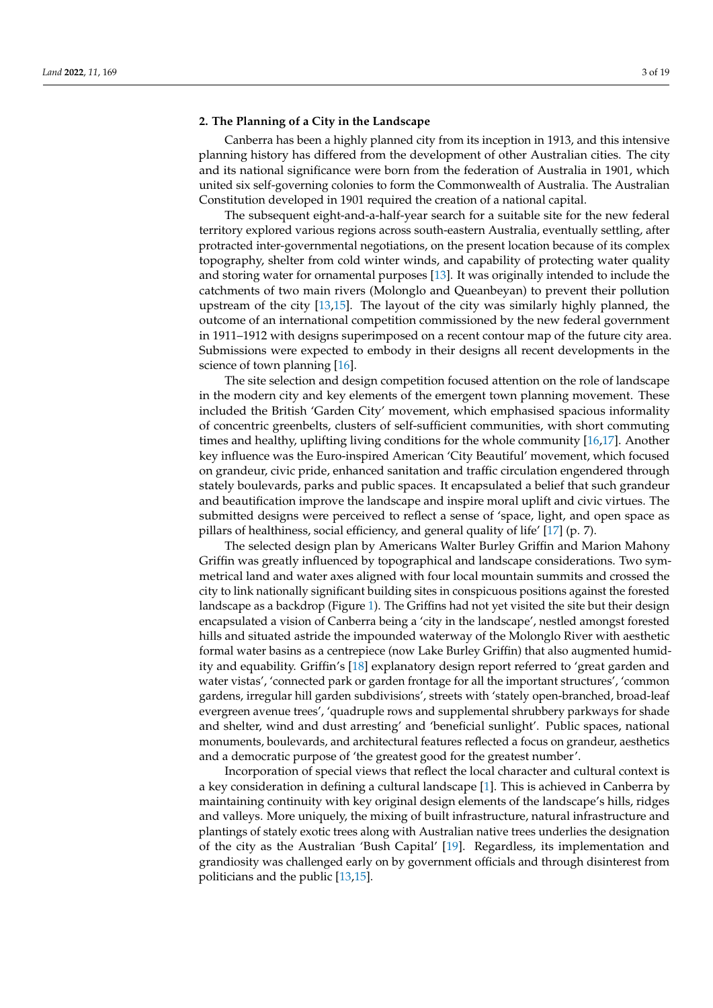#### **2. The Planning of a City in the Landscape**

Canberra has been a highly planned city from its inception in 1913, and this intensive planning history has differed from the development of other Australian cities. The city and its national significance were born from the federation of Australia in 1901, which united six self-governing colonies to form the Commonwealth of Australia. The Australian Constitution developed in 1901 required the creation of a national capital.

The subsequent eight-and-a-half-year search for a suitable site for the new federal territory explored various regions across south-eastern Australia, eventually settling, after protracted inter-governmental negotiations, on the present location because of its complex topography, shelter from cold winter winds, and capability of protecting water quality and storing water for ornamental purposes [\[13\]](#page-17-12). It was originally intended to include the catchments of two main rivers (Molonglo and Queanbeyan) to prevent their pollution upstream of the city [\[13,](#page-17-12)[15\]](#page-17-14). The layout of the city was similarly highly planned, the outcome of an international competition commissioned by the new federal government in 1911–1912 with designs superimposed on a recent contour map of the future city area. Submissions were expected to embody in their designs all recent developments in the science of town planning [\[16\]](#page-17-15).

The site selection and design competition focused attention on the role of landscape in the modern city and key elements of the emergent town planning movement. These included the British 'Garden City' movement, which emphasised spacious informality of concentric greenbelts, clusters of self-sufficient communities, with short commuting times and healthy, uplifting living conditions for the whole community [\[16,](#page-17-15)[17\]](#page-18-0). Another key influence was the Euro-inspired American 'City Beautiful' movement, which focused on grandeur, civic pride, enhanced sanitation and traffic circulation engendered through stately boulevards, parks and public spaces. It encapsulated a belief that such grandeur and beautification improve the landscape and inspire moral uplift and civic virtues. The submitted designs were perceived to reflect a sense of 'space, light, and open space as pillars of healthiness, social efficiency, and general quality of life' [\[17\]](#page-18-0) (p. 7).

The selected design plan by Americans Walter Burley Griffin and Marion Mahony Griffin was greatly influenced by topographical and landscape considerations. Two symmetrical land and water axes aligned with four local mountain summits and crossed the city to link nationally significant building sites in conspicuous positions against the forested landscape as a backdrop (Figure [1\)](#page-3-0). The Griffins had not yet visited the site but their design encapsulated a vision of Canberra being a 'city in the landscape', nestled amongst forested hills and situated astride the impounded waterway of the Molonglo River with aesthetic formal water basins as a centrepiece (now Lake Burley Griffin) that also augmented humidity and equability. Griffin's [\[18\]](#page-18-1) explanatory design report referred to 'great garden and water vistas', 'connected park or garden frontage for all the important structures', 'common gardens, irregular hill garden subdivisions', streets with 'stately open-branched, broad-leaf evergreen avenue trees', 'quadruple rows and supplemental shrubbery parkways for shade and shelter, wind and dust arresting' and 'beneficial sunlight'. Public spaces, national monuments, boulevards, and architectural features reflected a focus on grandeur, aesthetics and a democratic purpose of 'the greatest good for the greatest number'.

Incorporation of special views that reflect the local character and cultural context is a key consideration in defining a cultural landscape [\[1\]](#page-17-0). This is achieved in Canberra by maintaining continuity with key original design elements of the landscape's hills, ridges and valleys. More uniquely, the mixing of built infrastructure, natural infrastructure and plantings of stately exotic trees along with Australian native trees underlies the designation of the city as the Australian 'Bush Capital' [\[19\]](#page-18-2). Regardless, its implementation and grandiosity was challenged early on by government officials and through disinterest from politicians and the public [\[13](#page-17-12)[,15\]](#page-17-14).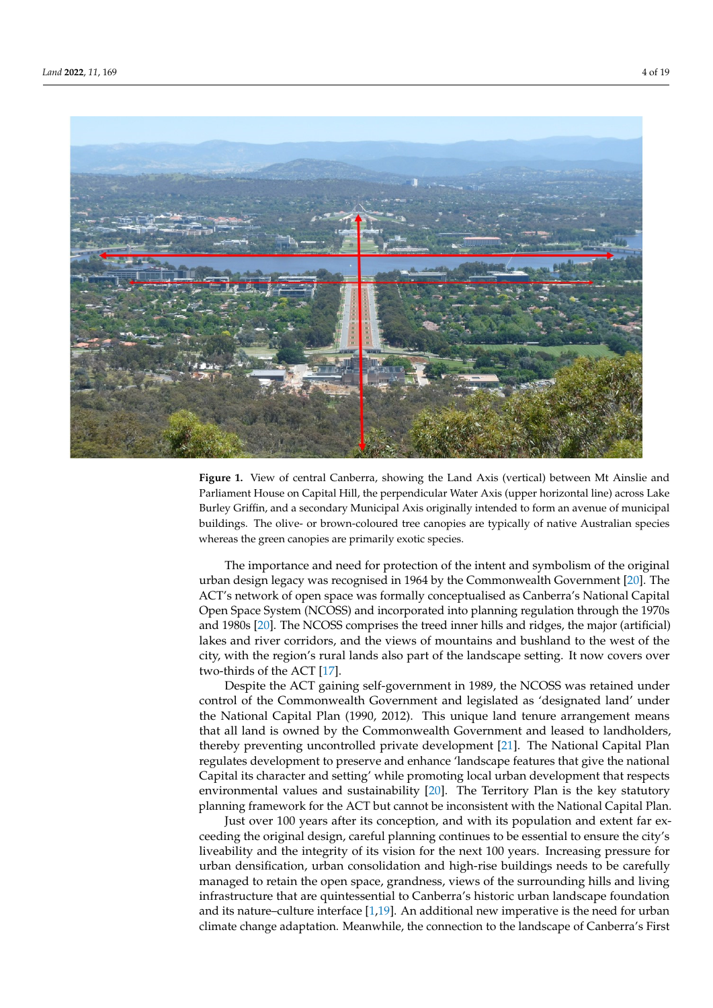<span id="page-3-0"></span>

Figure 1. View of central Canberra, showing the Land Axis (vertical) between Mt Ainslie and liament House on Capital Hill, the perpendicular Water Axis (upper horizontal line) across Lake Parliament House on Capital Hill, the perpendicular Water Axis (upper horizontal line) across Lake and a secondary Griffinia and a secondary municipal Axis original Axis original and all the secondary of municipal Axis original and average of municipal and average of municipal and average of municipal and average of mun buildings. The olive- or brown-coloured tree canopies are typically of native Australian species Burley Griffin, and a secondary Municipal Axis originally intended to form an avenue of municipal buildings. The olive- or brown-coloured tree canopies are typically of native Australian species whereas the green canopies are primarily exotic species.

The importance and need for protection of the intent and symbolism of the original in defining a cultural landscape in definition of the internation symbolism of the original urban design legacy was recognised in 1964 by the Commonwealth Government [\[20\]](#page-18-3). The about design legacy was recognised in 1964 by the commonwealth covernment [20]. The ACT's network of open space was formally conceptualised as Canberra's National Capital FICT 3 REWORK OF OPEN Space Was formally conceptabilised as Caliberra 3 Fundomial Capital Open Space System (NCOSS) and incorporated into planning regulation through the 1970s pen open of standard with Australian native trees along with Australian native trees and 1980s [\[20\]](#page-18-3). The NCOSS comprises the treed inner hills and ridges, the major (artificial) lakes and river corridors, and the views of mountains and bushland to the west of the early with the region's rural lands also part of the landscape setting. It now covers over city, with the region's rural lands also part of the landscape setting. It now covers over two-thirds of the ACT [\[17\]](#page-18-0).

Despite the ACT gaining self-government in 1989, the NCOSS was retained under control of the Commonwealth Government and legislated as 'designated land' under the National Capital Plan (1990, 2012). This unique land tenure arrangement means that all land is owned by the Commonwealth Government and leased to landholders, thereby preventing uncontrolled private development [\[21\]](#page-18-4). The National Capital Plan regulates development to preserve and enhance 'landscape features that give the national Capital its character and setting' while promoting local urban development that respects environmental values and sustainability [\[20\]](#page-18-3). The Territory Plan is the key statutory planning framework for the ACT but cannot be inconsistent with the National Capital Plan.

Just over 100 years after its conception, and with its population and extent far exceeding the original design, careful planning continues to be essential to ensure the city's liveability and the integrity of its vision for the next 100 years. Increasing pressure for urban densification, urban consolidation and high-rise buildings needs to be carefully managed to retain the open space, grandness, views of the surrounding hills and living infrastructure that are quintessential to Canberra's historic urban landscape foundation and its nature–culture interface [1,19]. An additional new imperative is the need for urban climate change adaptation. Meanwhile, the connection to the landscape of Canberra's First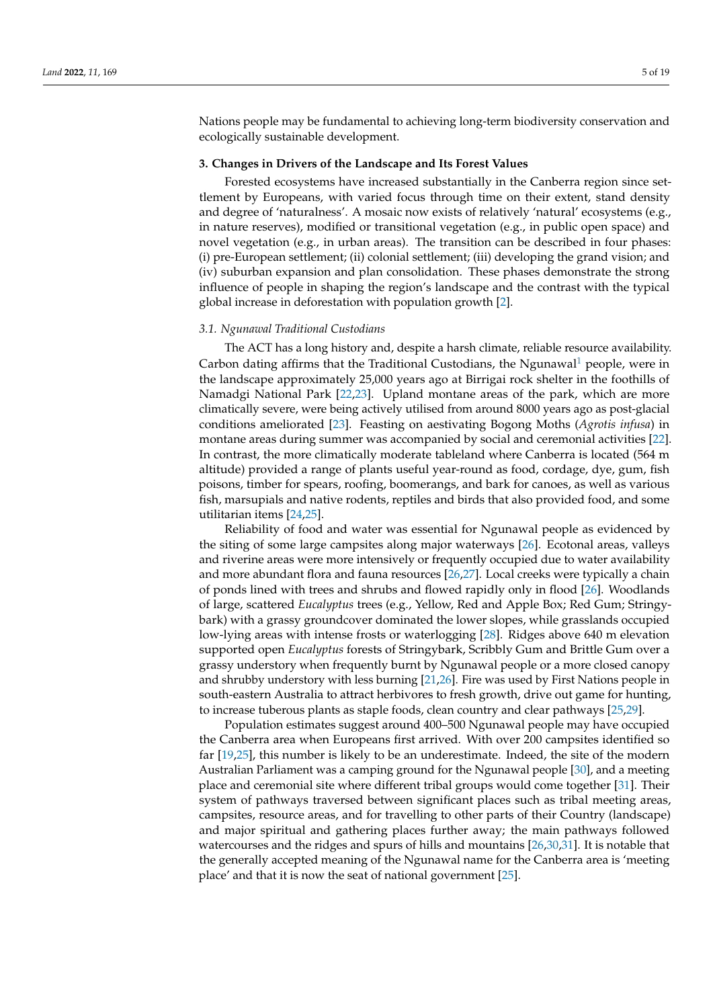Nations people may be fundamental to achieving long-term biodiversity conservation and ecologically sustainable development.

#### **3. Changes in Drivers of the Landscape and Its Forest Values**

Forested ecosystems have increased substantially in the Canberra region since settlement by Europeans, with varied focus through time on their extent, stand density and degree of 'naturalness'. A mosaic now exists of relatively 'natural' ecosystems (e.g., in nature reserves), modified or transitional vegetation (e.g., in public open space) and novel vegetation (e.g., in urban areas). The transition can be described in four phases: (i) pre-European settlement; (ii) colonial settlement; (iii) developing the grand vision; and (iv) suburban expansion and plan consolidation. These phases demonstrate the strong influence of people in shaping the region's landscape and the contrast with the typical global increase in deforestation with population growth [\[2\]](#page-17-1).

#### *3.1. Ngunawal Traditional Custodians*

<span id="page-4-0"></span>The ACT has a long history and, despite a harsh climate, reliable resource availability. Carbon dating affirms that the Traditional Custodians, the Ngunawal<sup>[1](#page-17-16)</sup> people, were in the landscape approximately 25,000 years ago at Birrigai rock shelter in the foothills of Namadgi National Park [\[22,](#page-18-5)[23\]](#page-18-6). Upland montane areas of the park, which are more climatically severe, were being actively utilised from around 8000 years ago as post-glacial conditions ameliorated [\[23\]](#page-18-6). Feasting on aestivating Bogong Moths (*Agrotis infusa*) in montane areas during summer was accompanied by social and ceremonial activities [\[22\]](#page-18-5). In contrast, the more climatically moderate tableland where Canberra is located (564 m altitude) provided a range of plants useful year-round as food, cordage, dye, gum, fish poisons, timber for spears, roofing, boomerangs, and bark for canoes, as well as various fish, marsupials and native rodents, reptiles and birds that also provided food, and some utilitarian items [\[24](#page-18-7)[,25\]](#page-18-8).

Reliability of food and water was essential for Ngunawal people as evidenced by the siting of some large campsites along major waterways [\[26\]](#page-18-9). Ecotonal areas, valleys and riverine areas were more intensively or frequently occupied due to water availability and more abundant flora and fauna resources [\[26,](#page-18-9)[27\]](#page-18-10). Local creeks were typically a chain of ponds lined with trees and shrubs and flowed rapidly only in flood [\[26\]](#page-18-9). Woodlands of large, scattered *Eucalyptus* trees (e.g., Yellow, Red and Apple Box; Red Gum; Stringybark) with a grassy groundcover dominated the lower slopes, while grasslands occupied low-lying areas with intense frosts or waterlogging [\[28\]](#page-18-11). Ridges above 640 m elevation supported open *Eucalyptus* forests of Stringybark, Scribbly Gum and Brittle Gum over a grassy understory when frequently burnt by Ngunawal people or a more closed canopy and shrubby understory with less burning [\[21,](#page-18-4)[26\]](#page-18-9). Fire was used by First Nations people in south-eastern Australia to attract herbivores to fresh growth, drive out game for hunting, to increase tuberous plants as staple foods, clean country and clear pathways [\[25](#page-18-8)[,29\]](#page-18-12).

Population estimates suggest around 400–500 Ngunawal people may have occupied the Canberra area when Europeans first arrived. With over 200 campsites identified so far [\[19,](#page-18-2)[25\]](#page-18-8), this number is likely to be an underestimate. Indeed, the site of the modern Australian Parliament was a camping ground for the Ngunawal people [\[30\]](#page-18-13), and a meeting place and ceremonial site where different tribal groups would come together [\[31\]](#page-18-14). Their system of pathways traversed between significant places such as tribal meeting areas, campsites, resource areas, and for travelling to other parts of their Country (landscape) and major spiritual and gathering places further away; the main pathways followed watercourses and the ridges and spurs of hills and mountains [\[26,](#page-18-9)[30,](#page-18-13)[31\]](#page-18-14). It is notable that the generally accepted meaning of the Ngunawal name for the Canberra area is 'meeting place' and that it is now the seat of national government [\[25\]](#page-18-8).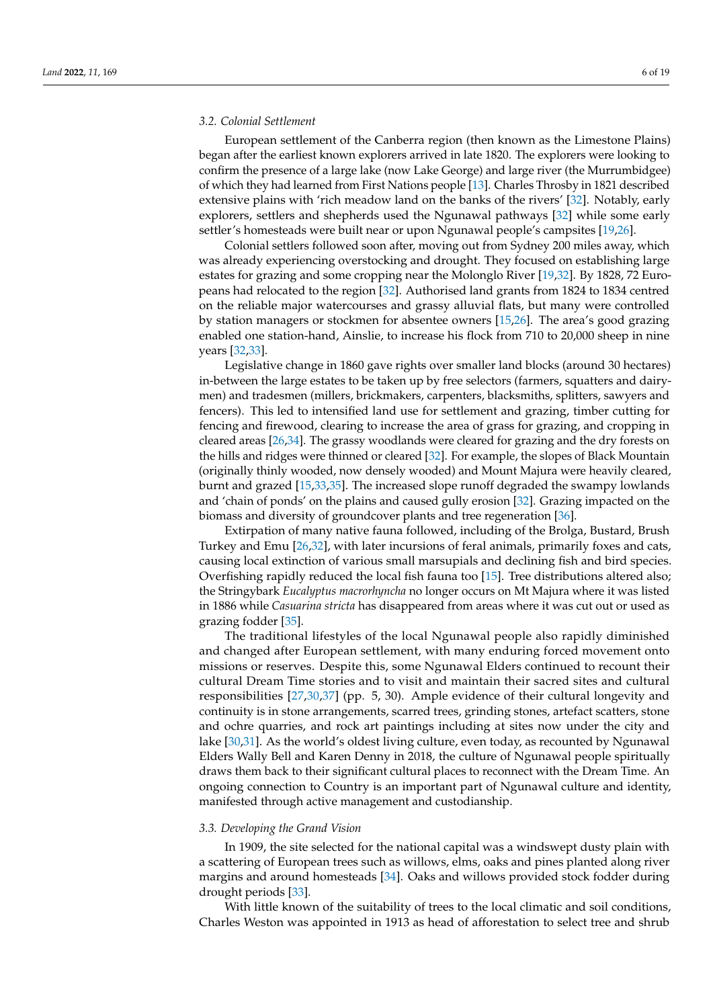#### *3.2. Colonial Settlement*

European settlement of the Canberra region (then known as the Limestone Plains) began after the earliest known explorers arrived in late 1820. The explorers were looking to confirm the presence of a large lake (now Lake George) and large river (the Murrumbidgee) of which they had learned from First Nations people [\[13\]](#page-17-12). Charles Throsby in 1821 described extensive plains with 'rich meadow land on the banks of the rivers' [\[32\]](#page-18-15). Notably, early explorers, settlers and shepherds used the Ngunawal pathways [\[32\]](#page-18-15) while some early settler's homesteads were built near or upon Ngunawal people's campsites [\[19,](#page-18-2)[26\]](#page-18-9).

Colonial settlers followed soon after, moving out from Sydney 200 miles away, which was already experiencing overstocking and drought. They focused on establishing large estates for grazing and some cropping near the Molonglo River [\[19](#page-18-2)[,32\]](#page-18-15). By 1828, 72 Europeans had relocated to the region [\[32\]](#page-18-15). Authorised land grants from 1824 to 1834 centred on the reliable major watercourses and grassy alluvial flats, but many were controlled by station managers or stockmen for absentee owners [\[15](#page-17-14)[,26\]](#page-18-9). The area's good grazing enabled one station-hand, Ainslie, to increase his flock from 710 to 20,000 sheep in nine years [\[32](#page-18-15)[,33\]](#page-18-16).

Legislative change in 1860 gave rights over smaller land blocks (around 30 hectares) in-between the large estates to be taken up by free selectors (farmers, squatters and dairymen) and tradesmen (millers, brickmakers, carpenters, blacksmiths, splitters, sawyers and fencers). This led to intensified land use for settlement and grazing, timber cutting for fencing and firewood, clearing to increase the area of grass for grazing, and cropping in cleared areas [\[26,](#page-18-9)[34\]](#page-18-17). The grassy woodlands were cleared for grazing and the dry forests on the hills and ridges were thinned or cleared [\[32\]](#page-18-15). For example, the slopes of Black Mountain (originally thinly wooded, now densely wooded) and Mount Majura were heavily cleared, burnt and grazed [\[15,](#page-17-14)[33,](#page-18-16)[35\]](#page-18-18). The increased slope runoff degraded the swampy lowlands and 'chain of ponds' on the plains and caused gully erosion [\[32\]](#page-18-15). Grazing impacted on the biomass and diversity of groundcover plants and tree regeneration [\[36\]](#page-18-19).

Extirpation of many native fauna followed, including of the Brolga, Bustard, Brush Turkey and Emu [\[26,](#page-18-9)[32\]](#page-18-15), with later incursions of feral animals, primarily foxes and cats, causing local extinction of various small marsupials and declining fish and bird species. Overfishing rapidly reduced the local fish fauna too [\[15\]](#page-17-14). Tree distributions altered also; the Stringybark *Eucalyptus macrorhyncha* no longer occurs on Mt Majura where it was listed in 1886 while *Casuarina stricta* has disappeared from areas where it was cut out or used as grazing fodder [\[35\]](#page-18-18).

The traditional lifestyles of the local Ngunawal people also rapidly diminished and changed after European settlement, with many enduring forced movement onto missions or reserves. Despite this, some Ngunawal Elders continued to recount their cultural Dream Time stories and to visit and maintain their sacred sites and cultural responsibilities [\[27](#page-18-10)[,30](#page-18-13)[,37\]](#page-18-20) (pp. 5, 30). Ample evidence of their cultural longevity and continuity is in stone arrangements, scarred trees, grinding stones, artefact scatters, stone and ochre quarries, and rock art paintings including at sites now under the city and lake [\[30,](#page-18-13)[31\]](#page-18-14). As the world's oldest living culture, even today, as recounted by Ngunawal Elders Wally Bell and Karen Denny in 2018, the culture of Ngunawal people spiritually draws them back to their significant cultural places to reconnect with the Dream Time. An ongoing connection to Country is an important part of Ngunawal culture and identity, manifested through active management and custodianship.

#### *3.3. Developing the Grand Vision*

In 1909, the site selected for the national capital was a windswept dusty plain with a scattering of European trees such as willows, elms, oaks and pines planted along river margins and around homesteads [\[34\]](#page-18-17). Oaks and willows provided stock fodder during drought periods [\[33\]](#page-18-16).

With little known of the suitability of trees to the local climatic and soil conditions, Charles Weston was appointed in 1913 as head of afforestation to select tree and shrub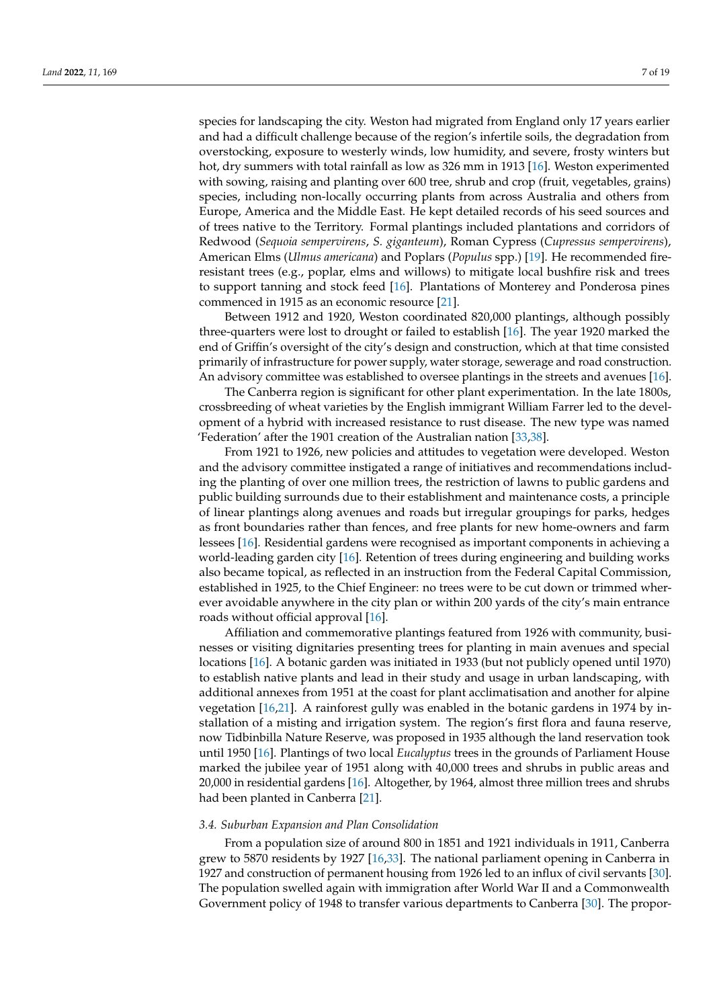species for landscaping the city. Weston had migrated from England only 17 years earlier and had a difficult challenge because of the region's infertile soils, the degradation from overstocking, exposure to westerly winds, low humidity, and severe, frosty winters but hot, dry summers with total rainfall as low as 326 mm in 1913 [\[16\]](#page-17-15). Weston experimented with sowing, raising and planting over 600 tree, shrub and crop (fruit, vegetables, grains) species, including non-locally occurring plants from across Australia and others from Europe, America and the Middle East. He kept detailed records of his seed sources and of trees native to the Territory. Formal plantings included plantations and corridors of Redwood (*Sequoia sempervirens*, *S. giganteum*), Roman Cypress (*Cupressus sempervirens*), American Elms (*Ulmus americana*) and Poplars (*Populus* spp.) [\[19\]](#page-18-2). He recommended fireresistant trees (e.g., poplar, elms and willows) to mitigate local bushfire risk and trees to support tanning and stock feed [\[16\]](#page-17-15). Plantations of Monterey and Ponderosa pines commenced in 1915 as an economic resource [\[21\]](#page-18-4).

Between 1912 and 1920, Weston coordinated 820,000 plantings, although possibly three-quarters were lost to drought or failed to establish [\[16\]](#page-17-15). The year 1920 marked the end of Griffin's oversight of the city's design and construction, which at that time consisted primarily of infrastructure for power supply, water storage, sewerage and road construction. An advisory committee was established to oversee plantings in the streets and avenues [\[16\]](#page-17-15).

The Canberra region is significant for other plant experimentation. In the late 1800s, crossbreeding of wheat varieties by the English immigrant William Farrer led to the development of a hybrid with increased resistance to rust disease. The new type was named 'Federation' after the 1901 creation of the Australian nation [\[33](#page-18-16)[,38\]](#page-18-21).

From 1921 to 1926, new policies and attitudes to vegetation were developed. Weston and the advisory committee instigated a range of initiatives and recommendations including the planting of over one million trees, the restriction of lawns to public gardens and public building surrounds due to their establishment and maintenance costs, a principle of linear plantings along avenues and roads but irregular groupings for parks, hedges as front boundaries rather than fences, and free plants for new home-owners and farm lessees [\[16\]](#page-17-15). Residential gardens were recognised as important components in achieving a world-leading garden city [\[16\]](#page-17-15). Retention of trees during engineering and building works also became topical, as reflected in an instruction from the Federal Capital Commission, established in 1925, to the Chief Engineer: no trees were to be cut down or trimmed wherever avoidable anywhere in the city plan or within 200 yards of the city's main entrance roads without official approval [\[16\]](#page-17-15).

Affiliation and commemorative plantings featured from 1926 with community, businesses or visiting dignitaries presenting trees for planting in main avenues and special locations [\[16\]](#page-17-15). A botanic garden was initiated in 1933 (but not publicly opened until 1970) to establish native plants and lead in their study and usage in urban landscaping, with additional annexes from 1951 at the coast for plant acclimatisation and another for alpine vegetation [\[16,](#page-17-15)[21\]](#page-18-4). A rainforest gully was enabled in the botanic gardens in 1974 by installation of a misting and irrigation system. The region's first flora and fauna reserve, now Tidbinbilla Nature Reserve, was proposed in 1935 although the land reservation took until 1950 [\[16\]](#page-17-15). Plantings of two local *Eucalyptus* trees in the grounds of Parliament House marked the jubilee year of 1951 along with 40,000 trees and shrubs in public areas and 20,000 in residential gardens [\[16\]](#page-17-15). Altogether, by 1964, almost three million trees and shrubs had been planted in Canberra [\[21\]](#page-18-4).

#### *3.4. Suburban Expansion and Plan Consolidation*

From a population size of around 800 in 1851 and 1921 individuals in 1911, Canberra grew to 5870 residents by 1927 [\[16,](#page-17-15)[33\]](#page-18-16). The national parliament opening in Canberra in 1927 and construction of permanent housing from 1926 led to an influx of civil servants [\[30\]](#page-18-13). The population swelled again with immigration after World War II and a Commonwealth Government policy of 1948 to transfer various departments to Canberra [\[30\]](#page-18-13). The propor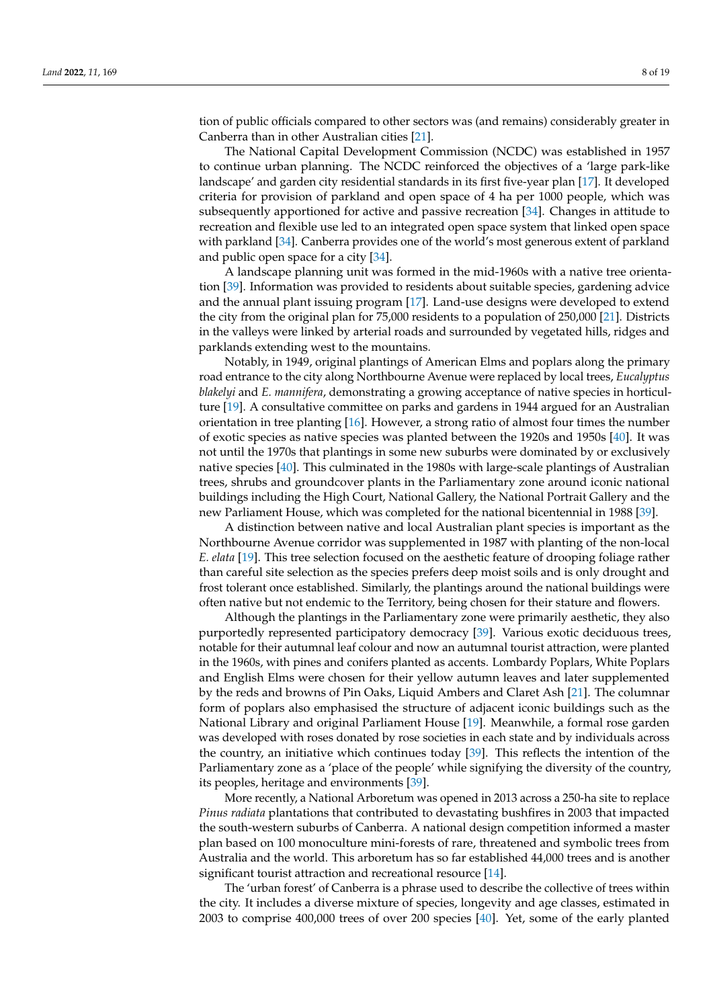tion of public officials compared to other sectors was (and remains) considerably greater in Canberra than in other Australian cities [\[21\]](#page-18-4).

The National Capital Development Commission (NCDC) was established in 1957 to continue urban planning. The NCDC reinforced the objectives of a 'large park-like landscape' and garden city residential standards in its first five-year plan [\[17\]](#page-18-0). It developed criteria for provision of parkland and open space of 4 ha per 1000 people, which was subsequently apportioned for active and passive recreation [\[34\]](#page-18-17). Changes in attitude to recreation and flexible use led to an integrated open space system that linked open space with parkland [\[34\]](#page-18-17). Canberra provides one of the world's most generous extent of parkland and public open space for a city [\[34\]](#page-18-17).

A landscape planning unit was formed in the mid-1960s with a native tree orientation [\[39\]](#page-18-22). Information was provided to residents about suitable species, gardening advice and the annual plant issuing program [\[17\]](#page-18-0). Land-use designs were developed to extend the city from the original plan for 75,000 residents to a population of 250,000 [\[21\]](#page-18-4). Districts in the valleys were linked by arterial roads and surrounded by vegetated hills, ridges and parklands extending west to the mountains.

Notably, in 1949, original plantings of American Elms and poplars along the primary road entrance to the city along Northbourne Avenue were replaced by local trees, *Eucalyptus blakelyi* and *E. mannifera*, demonstrating a growing acceptance of native species in horticulture [\[19\]](#page-18-2). A consultative committee on parks and gardens in 1944 argued for an Australian orientation in tree planting [\[16\]](#page-17-15). However, a strong ratio of almost four times the number of exotic species as native species was planted between the 1920s and 1950s [\[40\]](#page-18-23). It was not until the 1970s that plantings in some new suburbs were dominated by or exclusively native species [\[40\]](#page-18-23). This culminated in the 1980s with large-scale plantings of Australian trees, shrubs and groundcover plants in the Parliamentary zone around iconic national buildings including the High Court, National Gallery, the National Portrait Gallery and the new Parliament House, which was completed for the national bicentennial in 1988 [\[39\]](#page-18-22).

A distinction between native and local Australian plant species is important as the Northbourne Avenue corridor was supplemented in 1987 with planting of the non-local *E. elata* [\[19\]](#page-18-2). This tree selection focused on the aesthetic feature of drooping foliage rather than careful site selection as the species prefers deep moist soils and is only drought and frost tolerant once established. Similarly, the plantings around the national buildings were often native but not endemic to the Territory, being chosen for their stature and flowers.

Although the plantings in the Parliamentary zone were primarily aesthetic, they also purportedly represented participatory democracy [\[39\]](#page-18-22). Various exotic deciduous trees, notable for their autumnal leaf colour and now an autumnal tourist attraction, were planted in the 1960s, with pines and conifers planted as accents. Lombardy Poplars, White Poplars and English Elms were chosen for their yellow autumn leaves and later supplemented by the reds and browns of Pin Oaks, Liquid Ambers and Claret Ash [\[21\]](#page-18-4). The columnar form of poplars also emphasised the structure of adjacent iconic buildings such as the National Library and original Parliament House [\[19\]](#page-18-2). Meanwhile, a formal rose garden was developed with roses donated by rose societies in each state and by individuals across the country, an initiative which continues today [\[39\]](#page-18-22). This reflects the intention of the Parliamentary zone as a 'place of the people' while signifying the diversity of the country, its peoples, heritage and environments [\[39\]](#page-18-22).

More recently, a National Arboretum was opened in 2013 across a 250-ha site to replace *Pinus radiata* plantations that contributed to devastating bushfires in 2003 that impacted the south-western suburbs of Canberra. A national design competition informed a master plan based on 100 monoculture mini-forests of rare, threatened and symbolic trees from Australia and the world. This arboretum has so far established 44,000 trees and is another significant tourist attraction and recreational resource [\[14\]](#page-17-13).

The 'urban forest' of Canberra is a phrase used to describe the collective of trees within the city. It includes a diverse mixture of species, longevity and age classes, estimated in 2003 to comprise 400,000 trees of over 200 species [\[40\]](#page-18-23). Yet, some of the early planted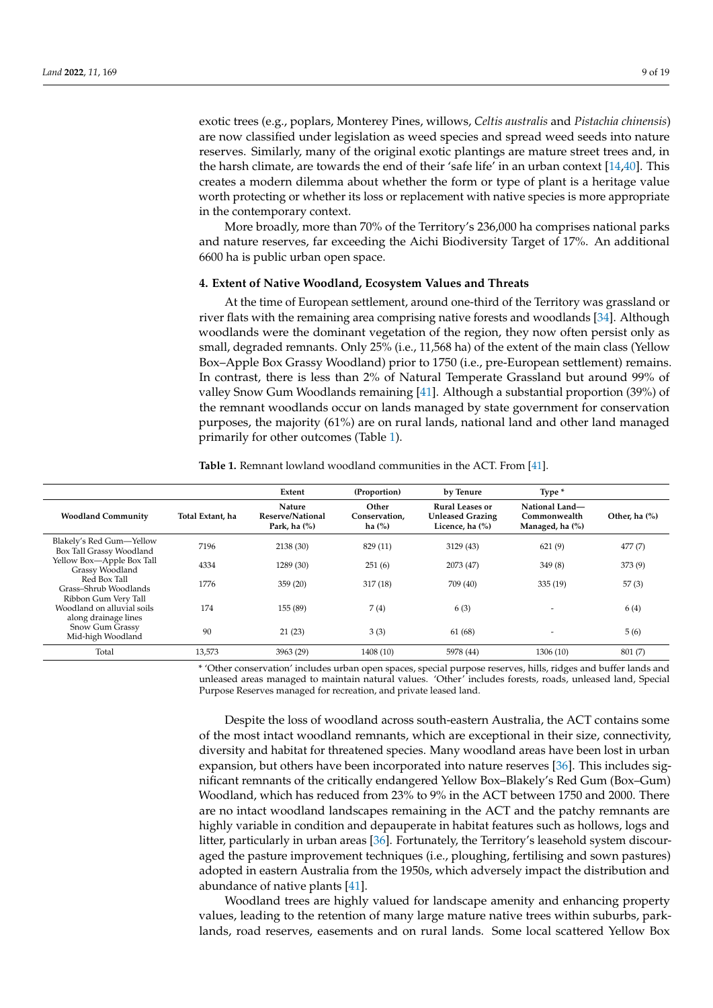exotic trees (e.g., poplars, Monterey Pines, willows, *Celtis australis* and *Pistachia chinensis*) are now classified under legislation as weed species and spread weed seeds into nature reserves. Similarly, many of the original exotic plantings are mature street trees and, in the harsh climate, are towards the end of their 'safe life' in an urban context [\[14](#page-17-13)[,40\]](#page-18-23). This creates a modern dilemma about whether the form or type of plant is a heritage value worth protecting or whether its loss or replacement with native species is more appropriate in the contemporary context.

More broadly, more than 70% of the Territory's 236,000 ha comprises national parks and nature reserves, far exceeding the Aichi Biodiversity Target of 17%. An additional 6600 ha is public urban open space.

#### **4. Extent of Native Woodland, Ecosystem Values and Threats**

At the time of European settlement, around one-third of the Territory was grassland or river flats with the remaining area comprising native forests and woodlands [\[34\]](#page-18-17). Although woodlands were the dominant vegetation of the region, they now often persist only as small, degraded remnants. Only 25% (i.e., 11,568 ha) of the extent of the main class (Yellow Box–Apple Box Grassy Woodland) prior to 1750 (i.e., pre-European settlement) remains. In contrast, there is less than 2% of Natural Temperate Grassland but around 99% of valley Snow Gum Woodlands remaining [\[41\]](#page-18-24). Although a substantial proportion (39%) of the remnant woodlands occur on lands managed by state government for conservation purposes, the majority (61%) are on rural lands, national land and other land managed primarily for other outcomes (Table [1\)](#page-8-0).

<span id="page-8-0"></span>

| <b>Table 1.</b> Remnant lowland woodland communities in the ACT. From [41]. |  |  |  |  |
|-----------------------------------------------------------------------------|--|--|--|--|
|-----------------------------------------------------------------------------|--|--|--|--|

|                                                                            |                  | Extent                                               | (Proportion)                        | by Tenure                                                            | Type *                                            |                  |
|----------------------------------------------------------------------------|------------------|------------------------------------------------------|-------------------------------------|----------------------------------------------------------------------|---------------------------------------------------|------------------|
| <b>Woodland Community</b>                                                  | Total Extant, ha | <b>Nature</b><br>Reserve/National<br>Park, ha $(\%)$ | Other<br>Conservation,<br>ha $(\%)$ | <b>Rural Leases or</b><br><b>Unleased Grazing</b><br>Licence, ha (%) | National Land-<br>Commonwealth<br>Managed, ha (%) | Other, ha $(\%)$ |
| Blakely's Red Gum-Yellow<br>Box Tall Grassy Woodland                       | 7196             | 2138 (30)                                            | 829 (11)                            | 3129(43)                                                             | 621(9)                                            | 477(7)           |
| Yellow Box-Apple Box Tall<br>Grassy Woodland                               | 4334             | 1289 (30)                                            | 251(6)                              | 2073 (47)                                                            | 349(8)                                            | 373(9)           |
| Red Box Tall<br>Grass-Shrub Woodlands                                      | 1776             | 359(20)                                              | 317(18)                             | 709 (40)                                                             | 335(19)                                           | 57(3)            |
| Ribbon Gum Very Tall<br>Woodland on alluvial soils<br>along drainage lines | 174              | 155 (89)                                             | 7(4)                                | 6(3)                                                                 |                                                   | 6 (4)            |
| Snow Gum Grassy<br>Mid-high Woodland                                       | 90               | 21(23)                                               | 3(3)                                | 61 (68)                                                              |                                                   | 5(6)             |
| Total                                                                      | 13,573           | 3963 (29)                                            | 1408 (10)                           | 5978 (44)                                                            | 1306(10)                                          | 801(7)           |
|                                                                            |                  |                                                      |                                     |                                                                      |                                                   |                  |

\* 'Other conservation' includes urban open spaces, special purpose reserves, hills, ridges and buffer lands and unleased areas managed to maintain natural values. 'Other' includes forests, roads, unleased land, Special Purpose Reserves managed for recreation, and private leased land.

Despite the loss of woodland across south-eastern Australia, the ACT contains some of the most intact woodland remnants, which are exceptional in their size, connectivity, diversity and habitat for threatened species. Many woodland areas have been lost in urban expansion, but others have been incorporated into nature reserves [\[36\]](#page-18-19). This includes significant remnants of the critically endangered Yellow Box–Blakely's Red Gum (Box–Gum) Woodland, which has reduced from 23% to 9% in the ACT between 1750 and 2000. There are no intact woodland landscapes remaining in the ACT and the patchy remnants are highly variable in condition and depauperate in habitat features such as hollows, logs and litter, particularly in urban areas [\[36\]](#page-18-19). Fortunately, the Territory's leasehold system discouraged the pasture improvement techniques (i.e., ploughing, fertilising and sown pastures) adopted in eastern Australia from the 1950s, which adversely impact the distribution and abundance of native plants [\[41\]](#page-18-24).

Woodland trees are highly valued for landscape amenity and enhancing property values, leading to the retention of many large mature native trees within suburbs, parklands, road reserves, easements and on rural lands. Some local scattered Yellow Box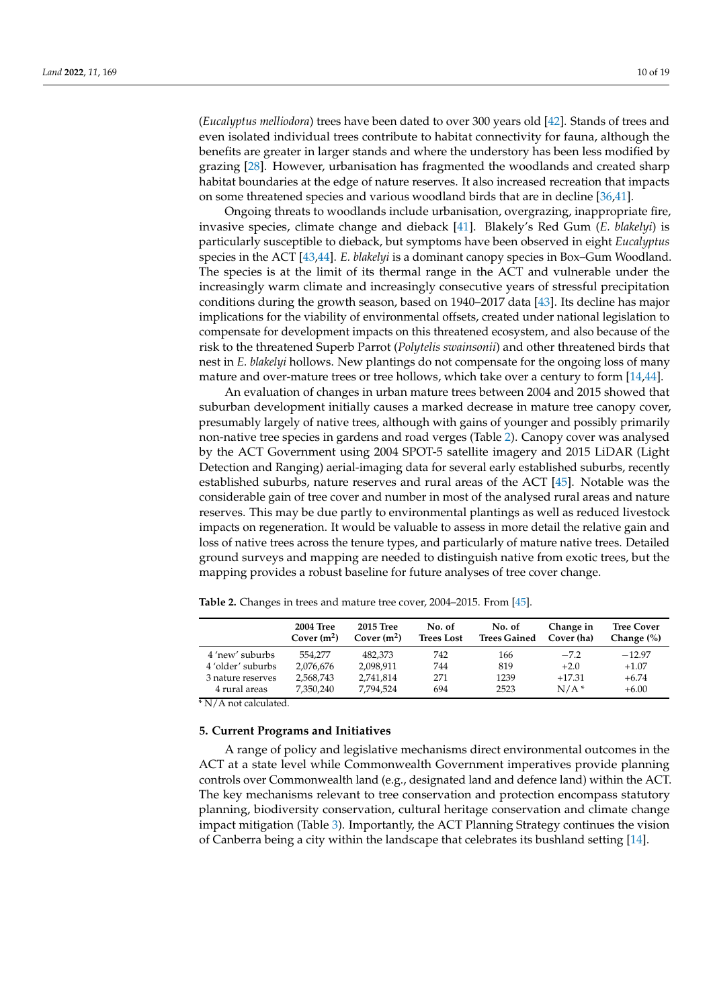(*Eucalyptus melliodora*) trees have been dated to over 300 years old [\[42\]](#page-18-25). Stands of trees and even isolated individual trees contribute to habitat connectivity for fauna, although the benefits are greater in larger stands and where the understory has been less modified by grazing [\[28\]](#page-18-11). However, urbanisation has fragmented the woodlands and created sharp habitat boundaries at the edge of nature reserves. It also increased recreation that impacts on some threatened species and various woodland birds that are in decline [\[36,](#page-18-19)[41\]](#page-18-24).

Ongoing threats to woodlands include urbanisation, overgrazing, inappropriate fire, invasive species, climate change and dieback [\[41\]](#page-18-24). Blakely's Red Gum (*E. blakelyi*) is particularly susceptible to dieback, but symptoms have been observed in eight *Eucalyptus* species in the ACT [\[43](#page-18-26)[,44\]](#page-18-27). *E. blakelyi* is a dominant canopy species in Box–Gum Woodland. The species is at the limit of its thermal range in the ACT and vulnerable under the increasingly warm climate and increasingly consecutive years of stressful precipitation conditions during the growth season, based on 1940–2017 data [\[43\]](#page-18-26). Its decline has major implications for the viability of environmental offsets, created under national legislation to compensate for development impacts on this threatened ecosystem, and also because of the risk to the threatened Superb Parrot (*Polytelis swainsonii*) and other threatened birds that nest in *E. blakelyi* hollows. New plantings do not compensate for the ongoing loss of many mature and over-mature trees or tree hollows, which take over a century to form [\[14,](#page-17-13)[44\]](#page-18-27).

An evaluation of changes in urban mature trees between 2004 and 2015 showed that suburban development initially causes a marked decrease in mature tree canopy cover, presumably largely of native trees, although with gains of younger and possibly primarily non-native tree species in gardens and road verges (Table [2\)](#page-9-0). Canopy cover was analysed by the ACT Government using 2004 SPOT-5 satellite imagery and 2015 LiDAR (Light Detection and Ranging) aerial-imaging data for several early established suburbs, recently established suburbs, nature reserves and rural areas of the ACT [\[45\]](#page-18-28). Notable was the considerable gain of tree cover and number in most of the analysed rural areas and nature reserves. This may be due partly to environmental plantings as well as reduced livestock impacts on regeneration. It would be valuable to assess in more detail the relative gain and loss of native trees across the tenure types, and particularly of mature native trees. Detailed ground surveys and mapping are needed to distinguish native from exotic trees, but the mapping provides a robust baseline for future analyses of tree cover change.

|                   | <b>2004 Tree</b><br>Cover $(m^2)$ | 2015 Tree<br>Cover $(m^2)$ | No. of<br><b>Trees Lost</b> | No. of<br><b>Trees Gained</b> | Change in<br>Cover (ha) | <b>Tree Cover</b><br>Change $(\%)$ |
|-------------------|-----------------------------------|----------------------------|-----------------------------|-------------------------------|-------------------------|------------------------------------|
| 4 'new' suburbs   | 554.277                           | 482.373                    | 742                         | 166                           | $-7.2$                  | $-12.97$                           |
| 4 'older' suburbs | 2,076,676                         | 2,098,911                  | 744                         | 819                           | $+2.0$                  | $+1.07$                            |
| 3 nature reserves | 2,568,743                         | 2,741,814                  | 271                         | 1239                          | $+17.31$                | $+6.74$                            |
| 4 rural areas     | 7.350.240                         | 7.794.524                  | 694                         | 2523                          | $N/A$ <sup>*</sup>      | $+6.00$                            |

<span id="page-9-0"></span>**Table 2.** Changes in trees and mature tree cover, 2004–2015. From [\[45\]](#page-18-28).

\* N/A not calculated.

#### **5. Current Programs and Initiatives**

A range of policy and legislative mechanisms direct environmental outcomes in the ACT at a state level while Commonwealth Government imperatives provide planning controls over Commonwealth land (e.g., designated land and defence land) within the ACT. The key mechanisms relevant to tree conservation and protection encompass statutory planning, biodiversity conservation, cultural heritage conservation and climate change impact mitigation (Table [3\)](#page-10-0). Importantly, the ACT Planning Strategy continues the vision of Canberra being a city within the landscape that celebrates its bushland setting [\[14\]](#page-17-13).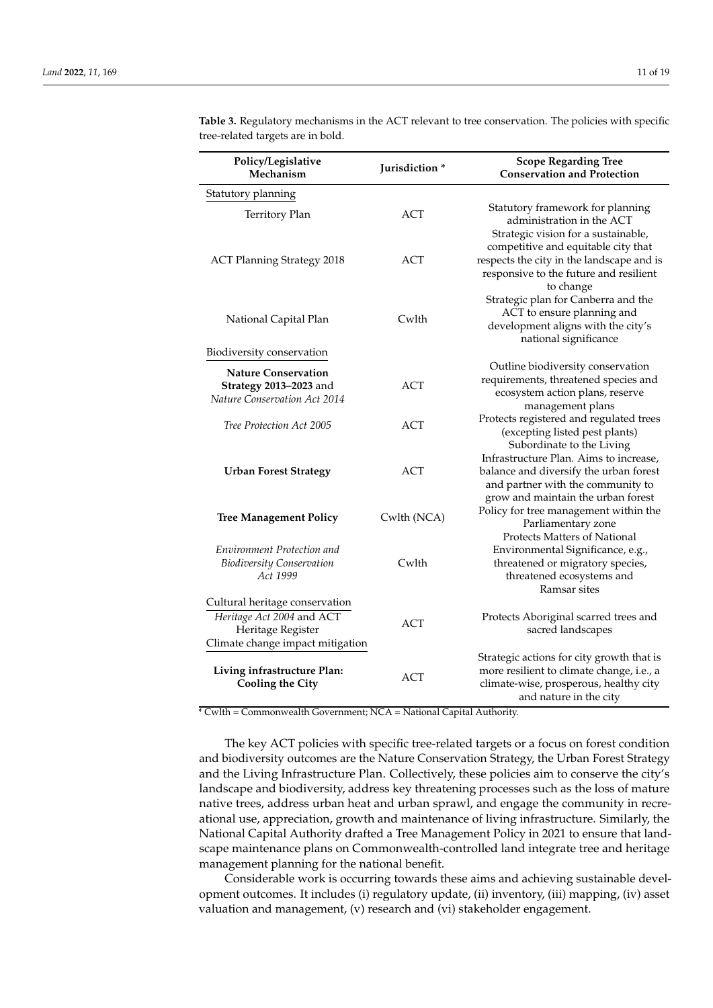| Policy/Legislative<br>Mechanism                                                      | Jurisdiction * | <b>Scope Regarding Tree</b><br><b>Conservation and Protection</b>                                                                                           |
|--------------------------------------------------------------------------------------|----------------|-------------------------------------------------------------------------------------------------------------------------------------------------------------|
| Statutory planning                                                                   |                |                                                                                                                                                             |
| Territory Plan                                                                       | <b>ACT</b>     | Statutory framework for planning<br>administration in the ACT<br>Strategic vision for a sustainable,                                                        |
| <b>ACT Planning Strategy 2018</b>                                                    | <b>ACT</b>     | competitive and equitable city that<br>respects the city in the landscape and is<br>responsive to the future and resilient<br>to change                     |
| National Capital Plan                                                                | Cwlth          | Strategic plan for Canberra and the<br>ACT to ensure planning and<br>development aligns with the city's<br>national significance                            |
| Biodiversity conservation                                                            |                |                                                                                                                                                             |
| <b>Nature Conservation</b><br>Strategy 2013-2023 and<br>Nature Conservation Act 2014 | ACT            | Outline biodiversity conservation<br>requirements, threatened species and<br>ecosystem action plans, reserve<br>management plans                            |
| Tree Protection Act 2005                                                             | <b>ACT</b>     | Protects registered and regulated trees<br>(excepting listed pest plants)<br>Subordinate to the Living                                                      |
| <b>Urban Forest Strategy</b>                                                         | ACT            | Infrastructure Plan. Aims to increase,<br>balance and diversify the urban forest<br>and partner with the community to<br>grow and maintain the urban forest |
| <b>Tree Management Policy</b>                                                        | Cwlth (NCA)    | Policy for tree management within the<br>Parliamentary zone<br>Protects Matters of National                                                                 |
| Environment Protection and                                                           |                | Environmental Significance, e.g.,                                                                                                                           |
| <b>Biodiversity Conservation</b><br>Act 1999                                         | Cwlth          | threatened or migratory species,<br>threatened ecosystems and<br>Ramsar sites                                                                               |
| Cultural heritage conservation                                                       |                |                                                                                                                                                             |
| Heritage Act 2004 and ACT<br>Heritage Register<br>Climate change impact mitigation   | <b>ACT</b>     | Protects Aboriginal scarred trees and<br>sacred landscapes                                                                                                  |
| Living infrastructure Plan:<br><b>Cooling the City</b>                               | ACT            | Strategic actions for city growth that is<br>more resilient to climate change, i.e., a<br>climate-wise, prosperous, healthy city<br>and nature in the city  |

<span id="page-10-0"></span>**Table 3.** Regulatory mechanisms in the ACT relevant to tree conservation. The policies with specific tree-related targets are in bold.

\* Cwlth = Commonwealth Government; NCA = National Capital Authority.

The key ACT policies with specific tree-related targets or a focus on forest condition and biodiversity outcomes are the Nature Conservation Strategy, the Urban Forest Strategy and the Living Infrastructure Plan. Collectively, these policies aim to conserve the city's landscape and biodiversity, address key threatening processes such as the loss of mature native trees, address urban heat and urban sprawl, and engage the community in recreational use, appreciation, growth and maintenance of living infrastructure. Similarly, the National Capital Authority drafted a Tree Management Policy in 2021 to ensure that landscape maintenance plans on Commonwealth-controlled land integrate tree and heritage management planning for the national benefit.

Considerable work is occurring towards these aims and achieving sustainable development outcomes. It includes (i) regulatory update, (ii) inventory, (iii) mapping, (iv) asset valuation and management, (v) research and (vi) stakeholder engagement.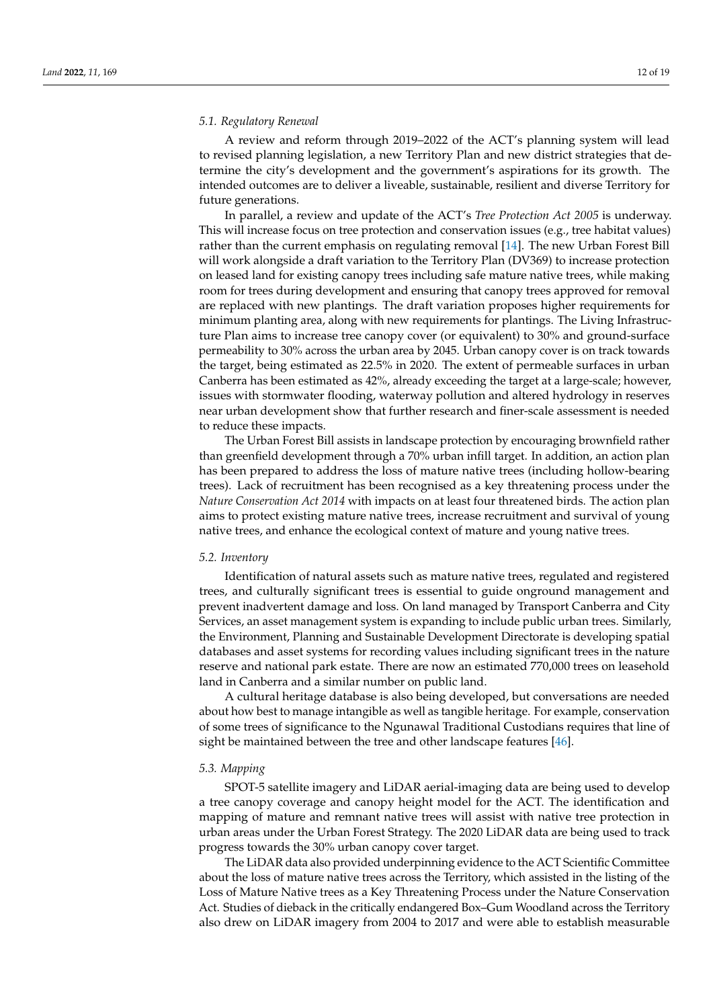#### *5.1. Regulatory Renewal*

A review and reform through 2019–2022 of the ACT's planning system will lead to revised planning legislation, a new Territory Plan and new district strategies that determine the city's development and the government's aspirations for its growth. The intended outcomes are to deliver a liveable, sustainable, resilient and diverse Territory for future generations.

In parallel, a review and update of the ACT's *Tree Protection Act 2005* is underway. This will increase focus on tree protection and conservation issues (e.g., tree habitat values) rather than the current emphasis on regulating removal [\[14\]](#page-17-13). The new Urban Forest Bill will work alongside a draft variation to the Territory Plan (DV369) to increase protection on leased land for existing canopy trees including safe mature native trees, while making room for trees during development and ensuring that canopy trees approved for removal are replaced with new plantings. The draft variation proposes higher requirements for minimum planting area, along with new requirements for plantings. The Living Infrastructure Plan aims to increase tree canopy cover (or equivalent) to 30% and ground-surface permeability to 30% across the urban area by 2045. Urban canopy cover is on track towards the target, being estimated as 22.5% in 2020. The extent of permeable surfaces in urban Canberra has been estimated as 42%, already exceeding the target at a large-scale; however, issues with stormwater flooding, waterway pollution and altered hydrology in reserves near urban development show that further research and finer-scale assessment is needed to reduce these impacts.

The Urban Forest Bill assists in landscape protection by encouraging brownfield rather than greenfield development through a 70% urban infill target. In addition, an action plan has been prepared to address the loss of mature native trees (including hollow-bearing trees). Lack of recruitment has been recognised as a key threatening process under the *Nature Conservation Act 2014* with impacts on at least four threatened birds. The action plan aims to protect existing mature native trees, increase recruitment and survival of young native trees, and enhance the ecological context of mature and young native trees.

#### *5.2. Inventory*

Identification of natural assets such as mature native trees, regulated and registered trees, and culturally significant trees is essential to guide onground management and prevent inadvertent damage and loss. On land managed by Transport Canberra and City Services, an asset management system is expanding to include public urban trees. Similarly, the Environment, Planning and Sustainable Development Directorate is developing spatial databases and asset systems for recording values including significant trees in the nature reserve and national park estate. There are now an estimated 770,000 trees on leasehold land in Canberra and a similar number on public land.

A cultural heritage database is also being developed, but conversations are needed about how best to manage intangible as well as tangible heritage. For example, conservation of some trees of significance to the Ngunawal Traditional Custodians requires that line of sight be maintained between the tree and other landscape features [\[46\]](#page-18-29).

#### *5.3. Mapping*

SPOT-5 satellite imagery and LiDAR aerial-imaging data are being used to develop a tree canopy coverage and canopy height model for the ACT. The identification and mapping of mature and remnant native trees will assist with native tree protection in urban areas under the Urban Forest Strategy. The 2020 LiDAR data are being used to track progress towards the 30% urban canopy cover target.

The LiDAR data also provided underpinning evidence to the ACT Scientific Committee about the loss of mature native trees across the Territory, which assisted in the listing of the Loss of Mature Native trees as a Key Threatening Process under the Nature Conservation Act. Studies of dieback in the critically endangered Box–Gum Woodland across the Territory also drew on LiDAR imagery from 2004 to 2017 and were able to establish measurable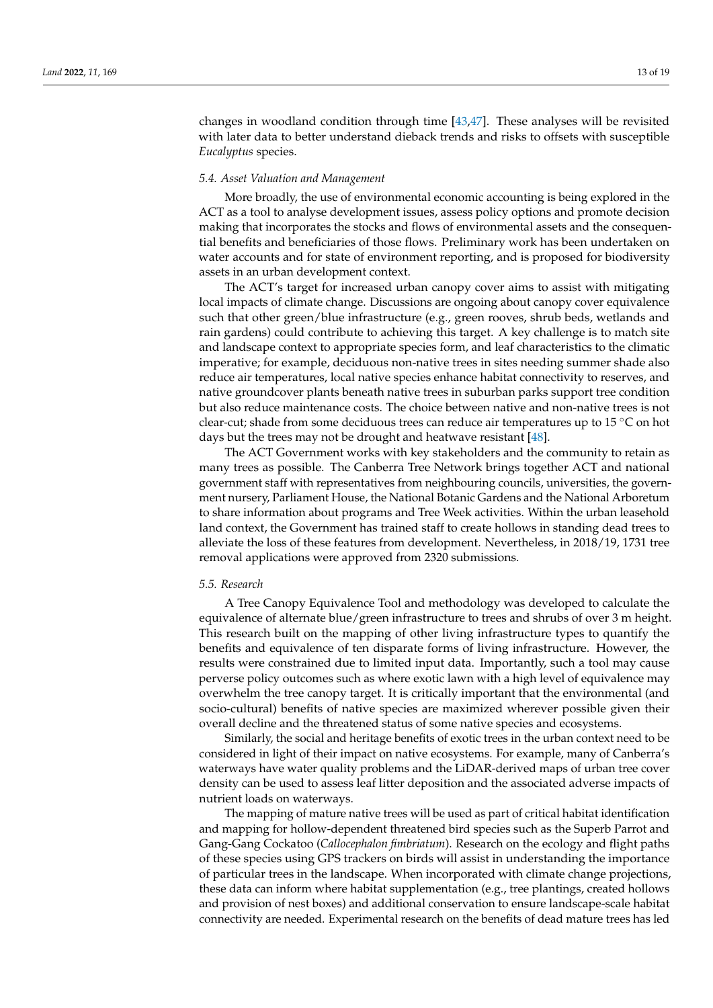changes in woodland condition through time [\[43](#page-18-26)[,47\]](#page-18-30). These analyses will be revisited with later data to better understand dieback trends and risks to offsets with susceptible *Eucalyptus* species.

#### *5.4. Asset Valuation and Management*

More broadly, the use of environmental economic accounting is being explored in the ACT as a tool to analyse development issues, assess policy options and promote decision making that incorporates the stocks and flows of environmental assets and the consequential benefits and beneficiaries of those flows. Preliminary work has been undertaken on water accounts and for state of environment reporting, and is proposed for biodiversity assets in an urban development context.

The ACT's target for increased urban canopy cover aims to assist with mitigating local impacts of climate change. Discussions are ongoing about canopy cover equivalence such that other green/blue infrastructure (e.g., green rooves, shrub beds, wetlands and rain gardens) could contribute to achieving this target. A key challenge is to match site and landscape context to appropriate species form, and leaf characteristics to the climatic imperative; for example, deciduous non-native trees in sites needing summer shade also reduce air temperatures, local native species enhance habitat connectivity to reserves, and native groundcover plants beneath native trees in suburban parks support tree condition but also reduce maintenance costs. The choice between native and non-native trees is not clear-cut; shade from some deciduous trees can reduce air temperatures up to 15 ◦C on hot days but the trees may not be drought and heatwave resistant [\[48\]](#page-18-31).

The ACT Government works with key stakeholders and the community to retain as many trees as possible. The Canberra Tree Network brings together ACT and national government staff with representatives from neighbouring councils, universities, the government nursery, Parliament House, the National Botanic Gardens and the National Arboretum to share information about programs and Tree Week activities. Within the urban leasehold land context, the Government has trained staff to create hollows in standing dead trees to alleviate the loss of these features from development. Nevertheless, in 2018/19, 1731 tree removal applications were approved from 2320 submissions.

### *5.5. Research*

A Tree Canopy Equivalence Tool and methodology was developed to calculate the equivalence of alternate blue/green infrastructure to trees and shrubs of over 3 m height. This research built on the mapping of other living infrastructure types to quantify the benefits and equivalence of ten disparate forms of living infrastructure. However, the results were constrained due to limited input data. Importantly, such a tool may cause perverse policy outcomes such as where exotic lawn with a high level of equivalence may overwhelm the tree canopy target. It is critically important that the environmental (and socio-cultural) benefits of native species are maximized wherever possible given their overall decline and the threatened status of some native species and ecosystems.

Similarly, the social and heritage benefits of exotic trees in the urban context need to be considered in light of their impact on native ecosystems. For example, many of Canberra's waterways have water quality problems and the LiDAR-derived maps of urban tree cover density can be used to assess leaf litter deposition and the associated adverse impacts of nutrient loads on waterways.

The mapping of mature native trees will be used as part of critical habitat identification and mapping for hollow-dependent threatened bird species such as the Superb Parrot and Gang-Gang Cockatoo (*Callocephalon fimbriatum*). Research on the ecology and flight paths of these species using GPS trackers on birds will assist in understanding the importance of particular trees in the landscape. When incorporated with climate change projections, these data can inform where habitat supplementation (e.g., tree plantings, created hollows and provision of nest boxes) and additional conservation to ensure landscape-scale habitat connectivity are needed. Experimental research on the benefits of dead mature trees has led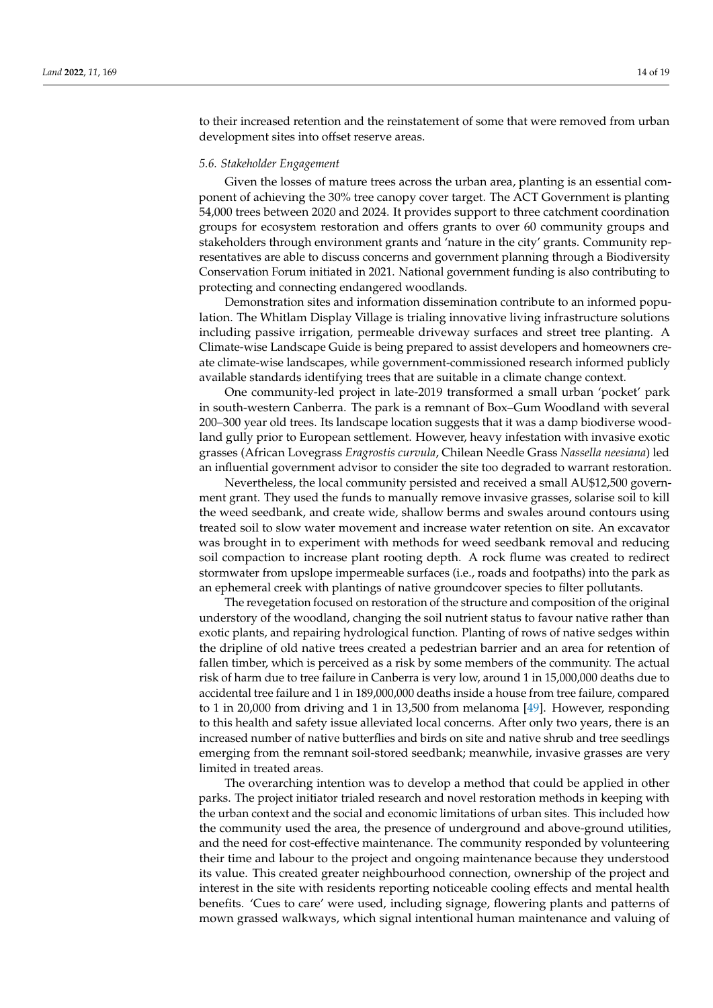to their increased retention and the reinstatement of some that were removed from urban development sites into offset reserve areas.

#### *5.6. Stakeholder Engagement*

Given the losses of mature trees across the urban area, planting is an essential component of achieving the 30% tree canopy cover target. The ACT Government is planting 54,000 trees between 2020 and 2024. It provides support to three catchment coordination groups for ecosystem restoration and offers grants to over 60 community groups and stakeholders through environment grants and 'nature in the city' grants. Community representatives are able to discuss concerns and government planning through a Biodiversity Conservation Forum initiated in 2021. National government funding is also contributing to protecting and connecting endangered woodlands.

Demonstration sites and information dissemination contribute to an informed population. The Whitlam Display Village is trialing innovative living infrastructure solutions including passive irrigation, permeable driveway surfaces and street tree planting. A Climate-wise Landscape Guide is being prepared to assist developers and homeowners create climate-wise landscapes, while government-commissioned research informed publicly available standards identifying trees that are suitable in a climate change context.

One community-led project in late-2019 transformed a small urban 'pocket' park in south-western Canberra. The park is a remnant of Box–Gum Woodland with several 200–300 year old trees. Its landscape location suggests that it was a damp biodiverse woodland gully prior to European settlement. However, heavy infestation with invasive exotic grasses (African Lovegrass *Eragrostis curvula*, Chilean Needle Grass *Nassella neesiana*) led an influential government advisor to consider the site too degraded to warrant restoration.

Nevertheless, the local community persisted and received a small AU\$12,500 government grant. They used the funds to manually remove invasive grasses, solarise soil to kill the weed seedbank, and create wide, shallow berms and swales around contours using treated soil to slow water movement and increase water retention on site. An excavator was brought in to experiment with methods for weed seedbank removal and reducing soil compaction to increase plant rooting depth. A rock flume was created to redirect stormwater from upslope impermeable surfaces (i.e., roads and footpaths) into the park as an ephemeral creek with plantings of native groundcover species to filter pollutants.

The revegetation focused on restoration of the structure and composition of the original understory of the woodland, changing the soil nutrient status to favour native rather than exotic plants, and repairing hydrological function. Planting of rows of native sedges within the dripline of old native trees created a pedestrian barrier and an area for retention of fallen timber, which is perceived as a risk by some members of the community. The actual risk of harm due to tree failure in Canberra is very low, around 1 in 15,000,000 deaths due to accidental tree failure and 1 in 189,000,000 deaths inside a house from tree failure, compared to 1 in 20,000 from driving and 1 in 13,500 from melanoma [\[49\]](#page-18-32). However, responding to this health and safety issue alleviated local concerns. After only two years, there is an increased number of native butterflies and birds on site and native shrub and tree seedlings emerging from the remnant soil-stored seedbank; meanwhile, invasive grasses are very limited in treated areas.

The overarching intention was to develop a method that could be applied in other parks. The project initiator trialed research and novel restoration methods in keeping with the urban context and the social and economic limitations of urban sites. This included how the community used the area, the presence of underground and above-ground utilities, and the need for cost-effective maintenance. The community responded by volunteering their time and labour to the project and ongoing maintenance because they understood its value. This created greater neighbourhood connection, ownership of the project and interest in the site with residents reporting noticeable cooling effects and mental health benefits. 'Cues to care' were used, including signage, flowering plants and patterns of mown grassed walkways, which signal intentional human maintenance and valuing of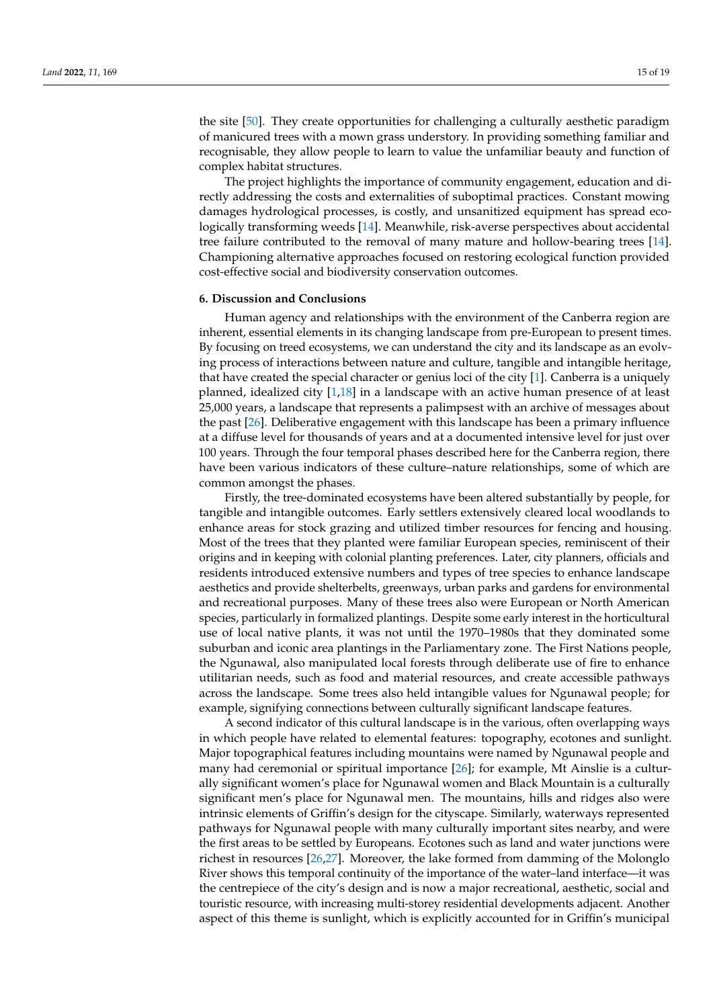the site [\[50\]](#page-18-33). They create opportunities for challenging a culturally aesthetic paradigm of manicured trees with a mown grass understory. In providing something familiar and recognisable, they allow people to learn to value the unfamiliar beauty and function of complex habitat structures.

The project highlights the importance of community engagement, education and directly addressing the costs and externalities of suboptimal practices. Constant mowing damages hydrological processes, is costly, and unsanitized equipment has spread ecologically transforming weeds [\[14\]](#page-17-13). Meanwhile, risk-averse perspectives about accidental tree failure contributed to the removal of many mature and hollow-bearing trees [\[14\]](#page-17-13). Championing alternative approaches focused on restoring ecological function provided cost-effective social and biodiversity conservation outcomes.

#### **6. Discussion and Conclusions**

Human agency and relationships with the environment of the Canberra region are inherent, essential elements in its changing landscape from pre-European to present times. By focusing on treed ecosystems, we can understand the city and its landscape as an evolving process of interactions between nature and culture, tangible and intangible heritage, that have created the special character or genius loci of the city [\[1\]](#page-17-0). Canberra is a uniquely planned, idealized city [\[1,](#page-17-0)[18\]](#page-18-1) in a landscape with an active human presence of at least 25,000 years, a landscape that represents a palimpsest with an archive of messages about the past [\[26\]](#page-18-9). Deliberative engagement with this landscape has been a primary influence at a diffuse level for thousands of years and at a documented intensive level for just over 100 years. Through the four temporal phases described here for the Canberra region, there have been various indicators of these culture–nature relationships, some of which are common amongst the phases.

Firstly, the tree-dominated ecosystems have been altered substantially by people, for tangible and intangible outcomes. Early settlers extensively cleared local woodlands to enhance areas for stock grazing and utilized timber resources for fencing and housing. Most of the trees that they planted were familiar European species, reminiscent of their origins and in keeping with colonial planting preferences. Later, city planners, officials and residents introduced extensive numbers and types of tree species to enhance landscape aesthetics and provide shelterbelts, greenways, urban parks and gardens for environmental and recreational purposes. Many of these trees also were European or North American species, particularly in formalized plantings. Despite some early interest in the horticultural use of local native plants, it was not until the 1970–1980s that they dominated some suburban and iconic area plantings in the Parliamentary zone. The First Nations people, the Ngunawal, also manipulated local forests through deliberate use of fire to enhance utilitarian needs, such as food and material resources, and create accessible pathways across the landscape. Some trees also held intangible values for Ngunawal people; for example, signifying connections between culturally significant landscape features.

A second indicator of this cultural landscape is in the various, often overlapping ways in which people have related to elemental features: topography, ecotones and sunlight. Major topographical features including mountains were named by Ngunawal people and many had ceremonial or spiritual importance [\[26\]](#page-18-9); for example, Mt Ainslie is a culturally significant women's place for Ngunawal women and Black Mountain is a culturally significant men's place for Ngunawal men. The mountains, hills and ridges also were intrinsic elements of Griffin's design for the cityscape. Similarly, waterways represented pathways for Ngunawal people with many culturally important sites nearby, and were the first areas to be settled by Europeans. Ecotones such as land and water junctions were richest in resources [\[26](#page-18-9)[,27\]](#page-18-10). Moreover, the lake formed from damming of the Molonglo River shows this temporal continuity of the importance of the water–land interface—it was the centrepiece of the city's design and is now a major recreational, aesthetic, social and touristic resource, with increasing multi-storey residential developments adjacent. Another aspect of this theme is sunlight, which is explicitly accounted for in Griffin's municipal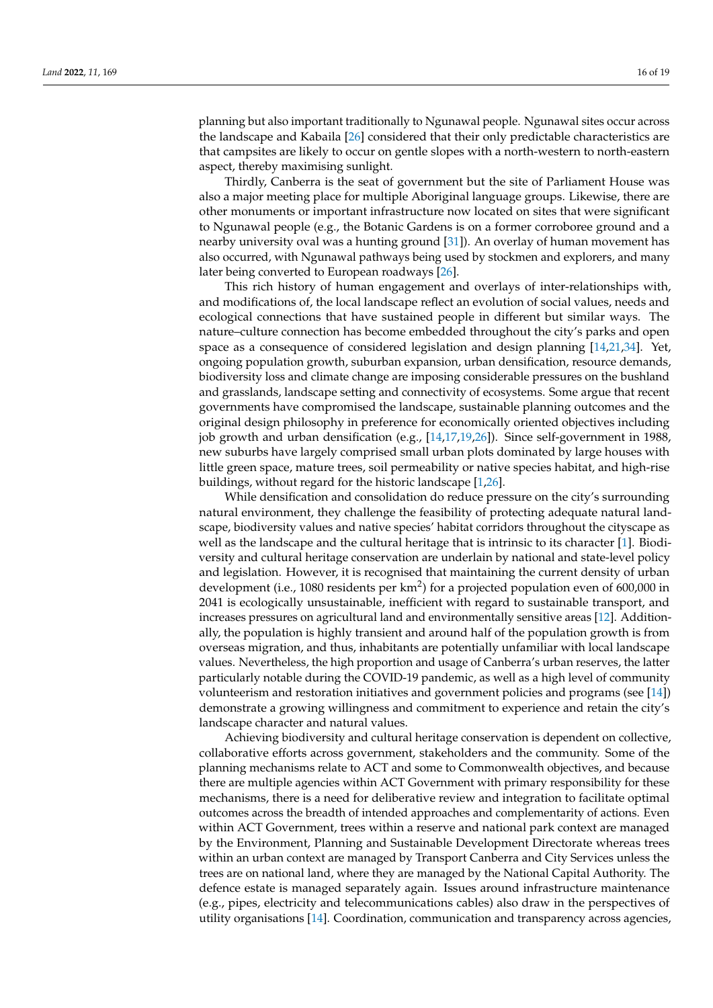planning but also important traditionally to Ngunawal people. Ngunawal sites occur across the landscape and Kabaila [\[26\]](#page-18-9) considered that their only predictable characteristics are that campsites are likely to occur on gentle slopes with a north-western to north-eastern aspect, thereby maximising sunlight.

Thirdly, Canberra is the seat of government but the site of Parliament House was also a major meeting place for multiple Aboriginal language groups. Likewise, there are other monuments or important infrastructure now located on sites that were significant to Ngunawal people (e.g., the Botanic Gardens is on a former corroboree ground and a nearby university oval was a hunting ground [\[31\]](#page-18-14)). An overlay of human movement has also occurred, with Ngunawal pathways being used by stockmen and explorers, and many later being converted to European roadways [\[26\]](#page-18-9).

This rich history of human engagement and overlays of inter-relationships with, and modifications of, the local landscape reflect an evolution of social values, needs and ecological connections that have sustained people in different but similar ways. The nature–culture connection has become embedded throughout the city's parks and open space as a consequence of considered legislation and design planning [\[14,](#page-17-13)[21,](#page-18-4)[34\]](#page-18-17). Yet, ongoing population growth, suburban expansion, urban densification, resource demands, biodiversity loss and climate change are imposing considerable pressures on the bushland and grasslands, landscape setting and connectivity of ecosystems. Some argue that recent governments have compromised the landscape, sustainable planning outcomes and the original design philosophy in preference for economically oriented objectives including job growth and urban densification (e.g., [\[14,](#page-17-13)[17,](#page-18-0)[19,](#page-18-2)[26\]](#page-18-9)). Since self-government in 1988, new suburbs have largely comprised small urban plots dominated by large houses with little green space, mature trees, soil permeability or native species habitat, and high-rise buildings, without regard for the historic landscape [\[1](#page-17-0)[,26\]](#page-18-9).

While densification and consolidation do reduce pressure on the city's surrounding natural environment, they challenge the feasibility of protecting adequate natural landscape, biodiversity values and native species' habitat corridors throughout the cityscape as well as the landscape and the cultural heritage that is intrinsic to its character [\[1\]](#page-17-0). Biodiversity and cultural heritage conservation are underlain by national and state-level policy and legislation. However, it is recognised that maintaining the current density of urban development (i.e., 1080 residents per  $km^2$ ) for a projected population even of 600,000 in 2041 is ecologically unsustainable, inefficient with regard to sustainable transport, and increases pressures on agricultural land and environmentally sensitive areas [\[12\]](#page-17-11). Additionally, the population is highly transient and around half of the population growth is from overseas migration, and thus, inhabitants are potentially unfamiliar with local landscape values. Nevertheless, the high proportion and usage of Canberra's urban reserves, the latter particularly notable during the COVID-19 pandemic, as well as a high level of community volunteerism and restoration initiatives and government policies and programs (see [\[14\]](#page-17-13)) demonstrate a growing willingness and commitment to experience and retain the city's landscape character and natural values.

Achieving biodiversity and cultural heritage conservation is dependent on collective, collaborative efforts across government, stakeholders and the community. Some of the planning mechanisms relate to ACT and some to Commonwealth objectives, and because there are multiple agencies within ACT Government with primary responsibility for these mechanisms, there is a need for deliberative review and integration to facilitate optimal outcomes across the breadth of intended approaches and complementarity of actions. Even within ACT Government, trees within a reserve and national park context are managed by the Environment, Planning and Sustainable Development Directorate whereas trees within an urban context are managed by Transport Canberra and City Services unless the trees are on national land, where they are managed by the National Capital Authority. The defence estate is managed separately again. Issues around infrastructure maintenance (e.g., pipes, electricity and telecommunications cables) also draw in the perspectives of utility organisations [\[14\]](#page-17-13). Coordination, communication and transparency across agencies,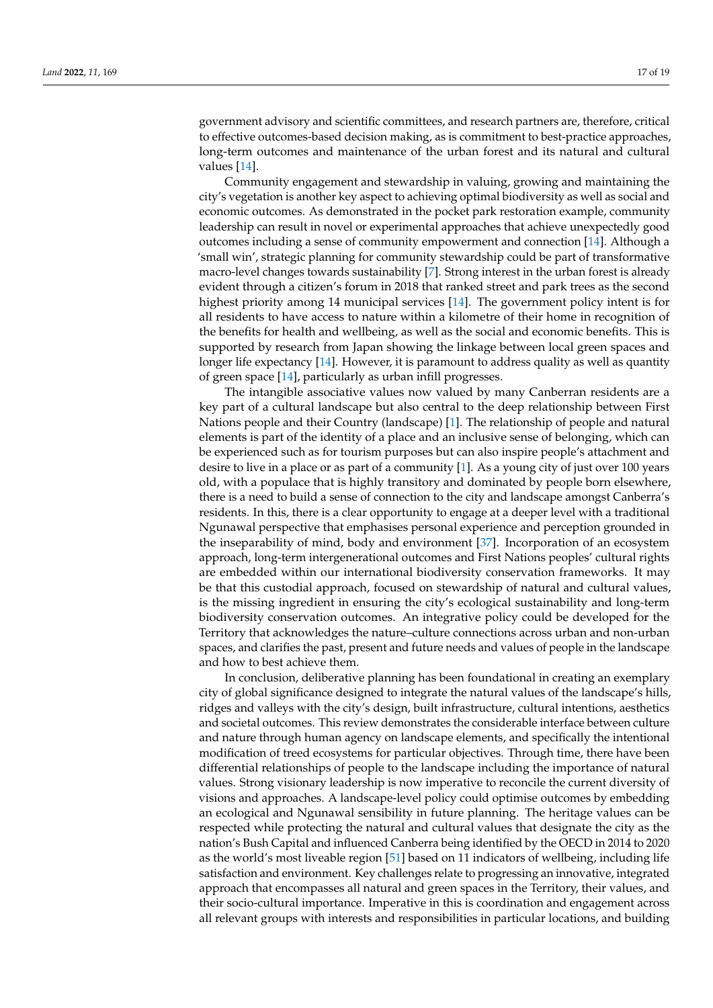government advisory and scientific committees, and research partners are, therefore, critical to effective outcomes-based decision making, as is commitment to best-practice approaches, long-term outcomes and maintenance of the urban forest and its natural and cultural values [\[14\]](#page-17-13).

Community engagement and stewardship in valuing, growing and maintaining the city's vegetation is another key aspect to achieving optimal biodiversity as well as social and economic outcomes. As demonstrated in the pocket park restoration example, community leadership can result in novel or experimental approaches that achieve unexpectedly good outcomes including a sense of community empowerment and connection [\[14\]](#page-17-13). Although a 'small win', strategic planning for community stewardship could be part of transformative macro-level changes towards sustainability [\[7\]](#page-17-6). Strong interest in the urban forest is already evident through a citizen's forum in 2018 that ranked street and park trees as the second highest priority among 14 municipal services [\[14\]](#page-17-13). The government policy intent is for all residents to have access to nature within a kilometre of their home in recognition of the benefits for health and wellbeing, as well as the social and economic benefits. This is supported by research from Japan showing the linkage between local green spaces and longer life expectancy [\[14\]](#page-17-13). However, it is paramount to address quality as well as quantity of green space [\[14\]](#page-17-13), particularly as urban infill progresses.

The intangible associative values now valued by many Canberran residents are a key part of a cultural landscape but also central to the deep relationship between First Nations people and their Country (landscape) [\[1\]](#page-17-0). The relationship of people and natural elements is part of the identity of a place and an inclusive sense of belonging, which can be experienced such as for tourism purposes but can also inspire people's attachment and desire to live in a place or as part of a community [\[1\]](#page-17-0). As a young city of just over 100 years old, with a populace that is highly transitory and dominated by people born elsewhere, there is a need to build a sense of connection to the city and landscape amongst Canberra's residents. In this, there is a clear opportunity to engage at a deeper level with a traditional Ngunawal perspective that emphasises personal experience and perception grounded in the inseparability of mind, body and environment [\[37\]](#page-18-20). Incorporation of an ecosystem approach, long-term intergenerational outcomes and First Nations peoples' cultural rights are embedded within our international biodiversity conservation frameworks. It may be that this custodial approach, focused on stewardship of natural and cultural values, is the missing ingredient in ensuring the city's ecological sustainability and long-term biodiversity conservation outcomes. An integrative policy could be developed for the Territory that acknowledges the nature–culture connections across urban and non-urban spaces, and clarifies the past, present and future needs and values of people in the landscape and how to best achieve them.

In conclusion, deliberative planning has been foundational in creating an exemplary city of global significance designed to integrate the natural values of the landscape's hills, ridges and valleys with the city's design, built infrastructure, cultural intentions, aesthetics and societal outcomes. This review demonstrates the considerable interface between culture and nature through human agency on landscape elements, and specifically the intentional modification of treed ecosystems for particular objectives. Through time, there have been differential relationships of people to the landscape including the importance of natural values. Strong visionary leadership is now imperative to reconcile the current diversity of visions and approaches. A landscape-level policy could optimise outcomes by embedding an ecological and Ngunawal sensibility in future planning. The heritage values can be respected while protecting the natural and cultural values that designate the city as the nation's Bush Capital and influenced Canberra being identified by the OECD in 2014 to 2020 as the world's most liveable region [\[51\]](#page-18-34) based on 11 indicators of wellbeing, including life satisfaction and environment. Key challenges relate to progressing an innovative, integrated approach that encompasses all natural and green spaces in the Territory, their values, and their socio-cultural importance. Imperative in this is coordination and engagement across all relevant groups with interests and responsibilities in particular locations, and building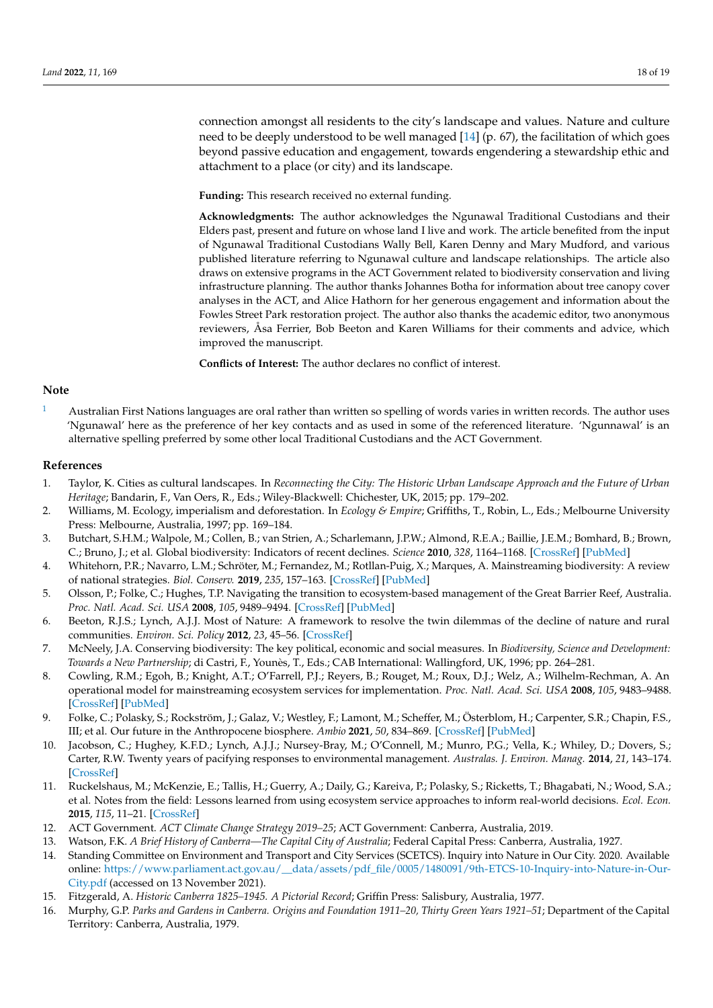connection amongst all residents to the city's landscape and values. Nature and culture need to be deeply understood to be well managed [\[14\]](#page-17-13) (p. 67), the facilitation of which goes beyond passive education and engagement, towards engendering a stewardship ethic and attachment to a place (or city) and its landscape.

**Funding:** This research received no external funding.

**Acknowledgments:** The author acknowledges the Ngunawal Traditional Custodians and their Elders past, present and future on whose land I live and work. The article benefited from the input of Ngunawal Traditional Custodians Wally Bell, Karen Denny and Mary Mudford, and various published literature referring to Ngunawal culture and landscape relationships. The article also draws on extensive programs in the ACT Government related to biodiversity conservation and living infrastructure planning. The author thanks Johannes Botha for information about tree canopy cover analyses in the ACT, and Alice Hathorn for her generous engagement and information about the Fowles Street Park restoration project. The author also thanks the academic editor, two anonymous reviewers, Åsa Ferrier, Bob Beeton and Karen Williams for their comments and advice, which improved the manuscript.

**Conflicts of Interest:** The author declares no conflict of interest.

## **Note**

<span id="page-17-16"></span> $1 1 -$  Australian First Nations languages are oral rather than written so spelling of words varies in written records. The author uses 'Ngunawal' here as the preference of her key contacts and as used in some of the referenced literature. 'Ngunnawal' is an alternative spelling preferred by some other local Traditional Custodians and the ACT Government.

#### **References**

- <span id="page-17-0"></span>1. Taylor, K. Cities as cultural landscapes. In *Reconnecting the City: The Historic Urban Landscape Approach and the Future of Urban Heritage*; Bandarin, F., Van Oers, R., Eds.; Wiley-Blackwell: Chichester, UK, 2015; pp. 179–202.
- <span id="page-17-1"></span>2. Williams, M. Ecology, imperialism and deforestation. In *Ecology & Empire*; Griffiths, T., Robin, L., Eds.; Melbourne University Press: Melbourne, Australia, 1997; pp. 169–184.
- <span id="page-17-2"></span>3. Butchart, S.H.M.; Walpole, M.; Collen, B.; van Strien, A.; Scharlemann, J.P.W.; Almond, R.E.A.; Baillie, J.E.M.; Bomhard, B.; Brown, C.; Bruno, J.; et al. Global biodiversity: Indicators of recent declines. *Science* **2010**, *328*, 1164–1168. [\[CrossRef\]](http://doi.org/10.1126/science.1187512) [\[PubMed\]](http://www.ncbi.nlm.nih.gov/pubmed/20430971)
- <span id="page-17-3"></span>4. Whitehorn, P.R.; Navarro, L.M.; Schröter, M.; Fernandez, M.; Rotllan-Puig, X.; Marques, A. Mainstreaming biodiversity: A review of national strategies. *Biol. Conserv.* **2019**, *235*, 157–163. [\[CrossRef\]](http://doi.org/10.1016/j.biocon.2019.04.016) [\[PubMed\]](http://www.ncbi.nlm.nih.gov/pubmed/32218608)
- <span id="page-17-4"></span>5. Olsson, P.; Folke, C.; Hughes, T.P. Navigating the transition to ecosystem-based management of the Great Barrier Reef, Australia. *Proc. Natl. Acad. Sci. USA* **2008**, *105*, 9489–9494. [\[CrossRef\]](http://doi.org/10.1073/pnas.0706905105) [\[PubMed\]](http://www.ncbi.nlm.nih.gov/pubmed/18621698)
- <span id="page-17-5"></span>6. Beeton, R.J.S.; Lynch, A.J.J. Most of Nature: A framework to resolve the twin dilemmas of the decline of nature and rural communities. *Environ. Sci. Policy* **2012**, *23*, 45–56. [\[CrossRef\]](http://doi.org/10.1016/j.envsci.2012.07.009)
- <span id="page-17-6"></span>7. McNeely, J.A. Conserving biodiversity: The key political, economic and social measures. In *Biodiversity, Science and Development: Towards a New Partnership*; di Castri, F., Younès, T., Eds.; CAB International: Wallingford, UK, 1996; pp. 264–281.
- <span id="page-17-7"></span>8. Cowling, R.M.; Egoh, B.; Knight, A.T.; O'Farrell, P.J.; Reyers, B.; Rouget, M.; Roux, D.J.; Welz, A.; Wilhelm-Rechman, A. An operational model for mainstreaming ecosystem services for implementation. *Proc. Natl. Acad. Sci. USA* **2008**, *105*, 9483–9488. [\[CrossRef\]](http://doi.org/10.1073/pnas.0706559105) [\[PubMed\]](http://www.ncbi.nlm.nih.gov/pubmed/18621695)
- <span id="page-17-8"></span>9. Folke, C.; Polasky, S.; Rockström, J.; Galaz, V.; Westley, F.; Lamont, M.; Scheffer, M.; Österblom, H.; Carpenter, S.R.; Chapin, F.S., III; et al. Our future in the Anthropocene biosphere. *Ambio* **2021**, *50*, 834–869. [\[CrossRef\]](http://doi.org/10.1007/s13280-021-01544-8) [\[PubMed\]](http://www.ncbi.nlm.nih.gov/pubmed/33715097)
- <span id="page-17-9"></span>10. Jacobson, C.; Hughey, K.F.D.; Lynch, A.J.J.; Nursey-Bray, M.; O'Connell, M.; Munro, P.G.; Vella, K.; Whiley, D.; Dovers, S.; Carter, R.W. Twenty years of pacifying responses to environmental management. *Australas. J. Environ. Manag.* **2014**, *21*, 143–174. [\[CrossRef\]](http://doi.org/10.1080/14486563.2014.917594)
- <span id="page-17-10"></span>11. Ruckelshaus, M.; McKenzie, E.; Tallis, H.; Guerry, A.; Daily, G.; Kareiva, P.; Polasky, S.; Ricketts, T.; Bhagabati, N.; Wood, S.A.; et al. Notes from the field: Lessons learned from using ecosystem service approaches to inform real-world decisions. *Ecol. Econ.* **2015**, *115*, 11–21. [\[CrossRef\]](http://doi.org/10.1016/j.ecolecon.2013.07.009)
- <span id="page-17-11"></span>12. ACT Government. *ACT Climate Change Strategy 2019–25*; ACT Government: Canberra, Australia, 2019.
- <span id="page-17-12"></span>13. Watson, F.K. *A Brief History of Canberra—The Capital City of Australia*; Federal Capital Press: Canberra, Australia, 1927.
- <span id="page-17-13"></span>14. Standing Committee on Environment and Transport and City Services (SCETCS). Inquiry into Nature in Our City. 2020. Available online: [https://www.parliament.act.gov.au/\\_\\_data/assets/pdf\\_file/0005/1480091/9th-ETCS-10-Inquiry-into-Nature-in-Our-](https://www.parliament.act.gov.au/__data/assets/pdf_file/0005/1480091/9th-ETCS-10-Inquiry-into-Nature-in-Our-City.pdf)[City.pdf](https://www.parliament.act.gov.au/__data/assets/pdf_file/0005/1480091/9th-ETCS-10-Inquiry-into-Nature-in-Our-City.pdf) (accessed on 13 November 2021).
- <span id="page-17-14"></span>15. Fitzgerald, A. *Historic Canberra 1825–1945. A Pictorial Record*; Griffin Press: Salisbury, Australia, 1977.
- <span id="page-17-15"></span>16. Murphy, G.P. *Parks and Gardens in Canberra. Origins and Foundation 1911–20, Thirty Green Years 1921–51*; Department of the Capital Territory: Canberra, Australia, 1979.